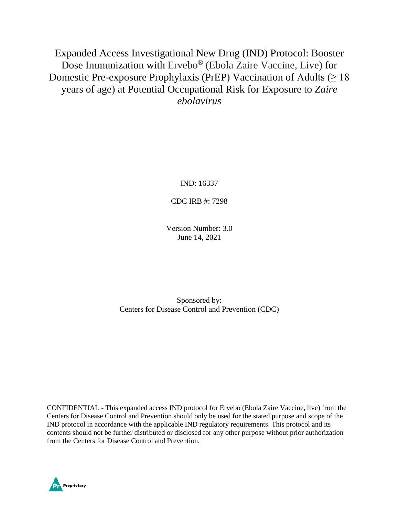Expanded Access Investigational New Drug (IND) Protocol: Booster Dose Immunization with Ervebo® (Ebola Zaire Vaccine, Live) for Domestic Pre-exposure Prophylaxis (PrEP) Vaccination of Adults ( $\geq 18$ ) years of age) at Potential Occupational Risk for Exposure to *Zaire ebolavirus*

IND: 16337

CDC IRB #: 7298

Version Number: 3.0 June 14, 2021

Sponsored by: Centers for Disease Control and Prevention (CDC)

CONFIDENTIAL - This expanded access IND protocol for Ervebo (Ebola Zaire Vaccine, live) from the Centers for Disease Control and Prevention should only be used for the stated purpose and scope of the IND protocol in accordance with the applicable IND regulatory requirements. This protocol and its contents should not be further distributed or disclosed for any other purpose without prior authorization from the Centers for Disease Control and Prevention.

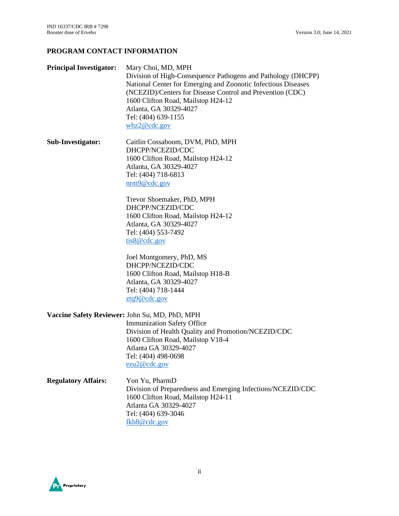# **PROGRAM CONTACT INFORMATION**

| <b>Principal Investigator:</b> | Mary Choi, MD, MPH<br>Division of High-Consequence Pathogens and Pathology (DHCPP)<br>National Center for Emerging and Zoonotic Infectious Diseases<br>(NCEZID)/Centers for Disease Control and Prevention (CDC)<br>1600 Clifton Road, Mailstop H24-12<br>Atlanta, GA 30329-4027<br>Tel: (404) 639-1155<br>whz2@cdc.gov |  |  |  |  |  |
|--------------------------------|-------------------------------------------------------------------------------------------------------------------------------------------------------------------------------------------------------------------------------------------------------------------------------------------------------------------------|--|--|--|--|--|
| <b>Sub-Investigator:</b>       | Caitlin Cossaboom, DVM, PhD, MPH<br>DHCPP/NCEZID/CDC<br>1600 Clifton Road, Mailstop H24-12<br>Atlanta, GA 30329-4027<br>Tel: (404) 718-6813<br>$\text{nrm9@cdc.gov}$                                                                                                                                                    |  |  |  |  |  |
|                                | Trevor Shoemaker, PhD, MPH<br>DHCPP/NCEZID/CDC<br>1600 Clifton Road, Mailstop H24-12<br>Atlanta, GA 30329-4027<br>Tel: (404) 553-7492<br>tis8@cdc.gov                                                                                                                                                                   |  |  |  |  |  |
|                                | Joel Montgomery, PhD, MS<br>DHCPP/NCEZID/CDC<br>1600 Clifton Road, Mailstop H18-B<br>Atlanta, GA 30329-4027<br>Tel: (404) 718-1444<br>ztq9@cdc.gov                                                                                                                                                                      |  |  |  |  |  |
|                                | Vaccine Safety Reviewer: John Su, MD, PhD, MPH<br><b>Immunization Safety Office</b><br>Division of Health Quality and Promotion/NCEZID/CDC<br>1600 Clifton Road, Mailstop V18-4<br>Atlanta GA 30329-4027<br>Tel: (404) 498-0698<br>ezu2@cdc.gov                                                                         |  |  |  |  |  |
| <b>Regulatory Affairs:</b>     | Yon Yu, PharmD<br>Division of Preparedness and Emerging Infections/NCEZID/CDC<br>1600 Clifton Road, Mailstop H24-11<br>Atlanta GA 30329-4027<br>Tel: (404) 639-3046<br>fkb8@cdc.gov                                                                                                                                     |  |  |  |  |  |

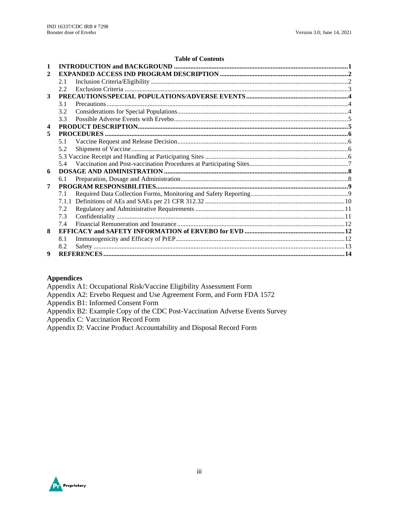#### **Table of Contents**

| 2 |     |  |
|---|-----|--|
|   | 2.1 |  |
|   | 2.2 |  |
| 3 |     |  |
|   | 3.1 |  |
|   | 3.2 |  |
|   | 3.3 |  |
| 4 |     |  |
| 5 |     |  |
|   | 5.1 |  |
|   | 5.2 |  |
|   |     |  |
|   | 5.4 |  |
| 6 |     |  |
|   | 6.1 |  |
| 7 |     |  |
|   | 7.1 |  |
|   |     |  |
|   | 7.2 |  |
|   | 7.3 |  |
|   | 7.4 |  |
| 8 |     |  |
|   | 8.1 |  |
|   | 8.2 |  |
| 9 |     |  |

#### **Appendices**

Appendix A1: Occupational Risk/Vaccine Eligibility Assessment Form

Appendix A2: Ervebo Request and Use Agreement Form, and Form FDA 1572

Appendix B1: Informed Consent Form

Appendix B2: Example Copy of the CDC Post-Vaccination Adverse Events Survey

Appendix C: Vaccination Record Form

Appendix D: Vaccine Product Accountability and Disposal Record Form

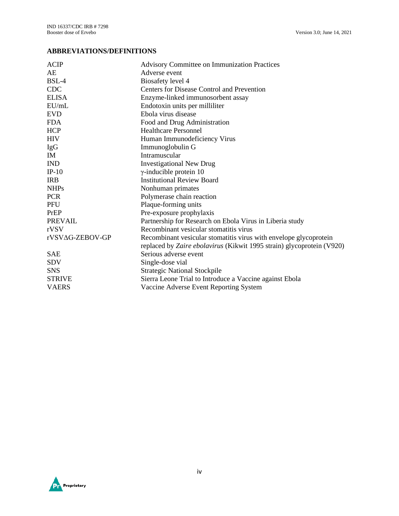# **ABBREVIATIONS/DEFINITIONS**

| <b>ACIP</b>     | <b>Advisory Committee on Immunization Practices</b>                   |
|-----------------|-----------------------------------------------------------------------|
| AE              | Adverse event                                                         |
| BSL-4           | Biosafety level 4                                                     |
| <b>CDC</b>      | Centers for Disease Control and Prevention                            |
| <b>ELISA</b>    | Enzyme-linked immunosorbent assay                                     |
| EU/mL           | Endotoxin units per milliliter                                        |
| <b>EVD</b>      | Ebola virus disease                                                   |
| <b>FDA</b>      | Food and Drug Administration                                          |
| <b>HCP</b>      | <b>Healthcare Personnel</b>                                           |
| <b>HIV</b>      | Human Immunodeficiency Virus                                          |
| IgG             | Immunoglobulin G                                                      |
| IM              | Intramuscular                                                         |
| <b>IND</b>      | <b>Investigational New Drug</b>                                       |
| $IP-10$         | $\gamma$ -inducible protein 10                                        |
| <b>IRB</b>      | <b>Institutional Review Board</b>                                     |
| <b>NHPs</b>     | Nonhuman primates                                                     |
| <b>PCR</b>      | Polymerase chain reaction                                             |
| PFU             | Plaque-forming units                                                  |
| PrEP            | Pre-exposure prophylaxis                                              |
| <b>PREVAIL</b>  | Partnership for Research on Ebola Virus in Liberia study              |
| rVSV            | Recombinant vesicular stomatitis virus                                |
| rVSVAG-ZEBOV-GP | Recombinant vesicular stomatitis virus with envelope glycoprotein     |
|                 | replaced by Zaire ebolavirus (Kikwit 1995 strain) glycoprotein (V920) |
| <b>SAE</b>      | Serious adverse event                                                 |
| <b>SDV</b>      | Single-dose vial                                                      |
| <b>SNS</b>      | <b>Strategic National Stockpile</b>                                   |
| <b>STRIVE</b>   | Sierra Leone Trial to Introduce a Vaccine against Ebola               |
| <b>VAERS</b>    | Vaccine Adverse Event Reporting System                                |

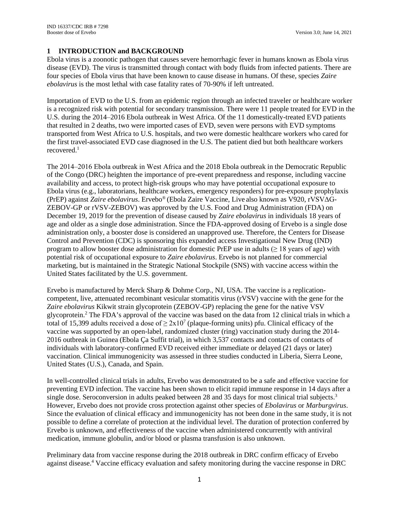# <span id="page-4-0"></span>**1 INTRODUCTION and BACKGROUND**

Ebola virus is a zoonotic pathogen that causes severe hemorrhagic fever in humans known as Ebola virus disease (EVD). The virus is transmitted through contact with body fluids from infected patients. There are four species of Ebola virus that have been known to cause disease in humans. Of these, species *Zaire ebolavirus* is the most lethal with case fatality rates of 70-90% if left untreated.

Importation of EVD to the U.S. from an epidemic region through an infected traveler or healthcare worker is a recognized risk with potential for secondary transmission. There were 11 people treated for EVD in the U.S. during the 2014–2016 Ebola outbreak in West Africa. Of the 11 domestically-treated EVD patients that resulted in 2 deaths, two were imported cases of EVD, seven were persons with EVD symptoms transported from West Africa to U.S. hospitals, and two were domestic healthcare workers who cared for the first travel-associated EVD case diagnosed in the U.S. The patient died but both healthcare workers recovered. 1

The 2014‒2016 Ebola outbreak in West Africa and the 2018 Ebola outbreak in the Democratic Republic of the Congo (DRC) heighten the importance of pre-event preparedness and response, including vaccine availability and access, to protect high-risk groups who may have potential occupational exposure to Ebola virus (e.g., laboratorians, healthcare workers, emergency responders) for pre-exposure prophylaxis (PrEP) against *Zaire ebolavirus*. Ervebo® (Ebola Zaire Vaccine, Live also known as V920, rVSVΔG-ZEBOV-GP or rVSV-ZEBOV) was approved by the U.S. Food and Drug Administration (FDA) on December 19, 2019 for the prevention of disease caused by *Zaire ebolavirus* in individuals 18 years of age and older as a single dose administration. Since the FDA-approved dosing of Ervebo is a single dose administration only, a booster dose is considered an unapproved use. Therefore, the Centers for Disease Control and Prevention (CDC) is sponsoring this expanded access Investigational New Drug (IND) program to allow booster dose administration for domestic PrEP use in adults ( $\geq 18$  years of age) with potential risk of occupational exposure to *Zaire ebolavirus*. Ervebo is not planned for commercial marketing, but is maintained in the Strategic National Stockpile (SNS) with vaccine access within the United States facilitated by the U.S. government.

Ervebo is manufactured by Merck Sharp & Dohme Corp., NJ, USA. The vaccine is a replicationcompetent, live, attenuated recombinant vesicular stomatitis virus (rVSV) vaccine with the gene for the *Zaire ebolavirus* Kikwit strain glycoprotein (ZEBOV-GP) replacing the gene for the native VSV glycoprotein. <sup>2</sup> The FDA's approval of the vaccine was based on the data from 12 clinical trials in which a total of 15,399 adults received a dose of  $\geq 2x10^7$  (plaque-forming units) pfu. Clinical efficacy of the vaccine was supported by an open-label, randomized cluster (ring) vaccination study during the 2014- 2016 outbreak in Guinea (Ebola Ça Suffit trial), in which 3,537 contacts and contacts of contacts of individuals with laboratory-confirmed EVD received either immediate or delayed (21 days or later) vaccination. Clinical immunogenicity was assessed in three studies conducted in Liberia, Sierra Leone, United States (U.S.), Canada, and Spain.

In well-controlled clinical trials in adults, Ervebo was demonstrated to be a safe and effective vaccine for preventing EVD infection. The vaccine has been shown to elicit rapid immune response in 14 days after a single dose. Seroconversion in adults peaked between 28 and 35 days for most clinical trial subjects.<sup>3</sup> However, Ervebo does not provide cross protection against other species of *Ebolavirus* or *Marburgvirus*. Since the evaluation of clinical efficacy and immunogenicity has not been done in the same study, it is not possible to define a correlate of protection at the individual level. The duration of protection conferred by Ervebo is unknown, and effectiveness of the vaccine when administered concurrently with antiviral medication, immune globulin, and/or blood or plasma transfusion is also unknown.

Preliminary data from vaccine response during the 2018 outbreak in DRC confirm efficacy of Ervebo against disease. <sup>4</sup> Vaccine efficacy evaluation and safety monitoring during the vaccine response in DRC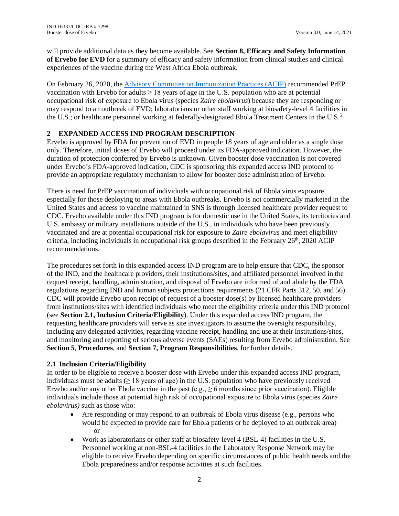will provide additional data as they become available. See **Section 8, Efficacy and Safety Information of Ervebo for EVD** for a summary of efficacy and safety information from clinical studies and clinical experiences of the vaccine during the West Africa Ebola outbreak.

On February 26, 2020, the [Advisory Committee on Immunization Practices](https://www.cdc.gov/mmwr/volumes/70/rr/rr7001a1.htm) (ACIP) recommended PrEP vaccination with Ervebo for adults  $\geq 18$  years of age in the U.S. population who are at potential occupational risk of exposure to Ebola virus (species *Zaire ebolavirus*) because they are responding or may respond to an outbreak of EVD; laboratorians or other staff working at biosafety-level 4 facilities in the U.S.; or healthcare personnel working at federally-designated Ebola Treatment Centers in the U.S.<sup>5</sup>

# <span id="page-5-0"></span>**2 EXPANDED ACCESS IND PROGRAM DESCRIPTION**

Ervebo is approved by FDA for prevention of EVD in people 18 years of age and older as a single dose only. Therefore, initial doses of Ervebo will proceed under its FDA-approved indication. However, the duration of protection conferred by Ervebo is unknown. Given booster dose vaccination is not covered under Ervebo's FDA-approved indication, CDC is sponsoring this expanded access IND protocol to provide an appropriate regulatory mechanism to allow for booster dose administration of Ervebo.

There is need for PrEP vaccination of individuals with occupational risk of Ebola virus exposure, especially for those deploying to areas with Ebola outbreaks. Ervebo is not commercially marketed in the United States and access to vaccine maintained in SNS is through licensed healthcare provider request to CDC. Ervebo available under this IND program is for domestic use in the United States, its territories and U.S. embassy or military installations outside of the U.S., in individuals who have been previously vaccinated and are at potential occupational risk for exposure to *Zaire ebolavirus* and meet eligibility criteria, including individuals in occupational risk groups described in the February  $26<sup>th</sup>$ , 2020 ACIP recommendations.

The procedures set forth in this expanded access IND program are to help ensure that CDC, the sponsor of the IND, and the healthcare providers, their institutions/sites, and affiliated personnel involved in the request receipt, handling, administration, and disposal of Ervebo are informed of and abide by the FDA regulations regarding IND and human subjects protections requirements (21 CFR Parts 312, 50, and 56). CDC will provide Ervebo upon receipt of request of a booster dose(s) by licensed healthcare providers from institutions/sites with identified individuals who meet the eligibility criteria under this IND protocol (see **Section 2.1, Inclusion Criteria/Eligibility**). Under this expanded access IND program, the requesting healthcare providers will serve as site investigators to assume the oversight responsibility, including any delegated activities, regarding vaccine receipt, handling and use at their institutions/sites, and monitoring and reporting of serious adverse events (SAEs) resulting from Ervebo administration. See **Section 5**, **Procedures**, and **Section 7, Program Responsibilities**, for further details.

#### <span id="page-5-1"></span>**2.1 Inclusion Criteria/Eligibility**

In order to be eligible to receive a booster dose with Ervebo under this expanded access IND program, individuals must be adults  $(≥ 18$  years of age) in the U.S. population who have previously received Ervebo and/or any other Ebola vaccine in the past (e.g.,  $\geq 6$  months since prior vaccination). Eligible individuals include those at potential high risk of occupational exposure to Ebola virus (species *Zaire ebolavirus)* such as those who:

- Are responding or may respond to an outbreak of Ebola virus disease (e.g., persons who would be expected to provide care for Ebola patients or be deployed to an outbreak area) or
- Work as laboratorians or other staff at biosafety-level 4 (BSL-4) facilities in the U.S. Personnel working at non-BSL-4 facilities in the Laboratory Response Network may be eligible to receive Ervebo depending on specific circumstances of public health needs and the Ebola preparedness and/or response activities at such facilities.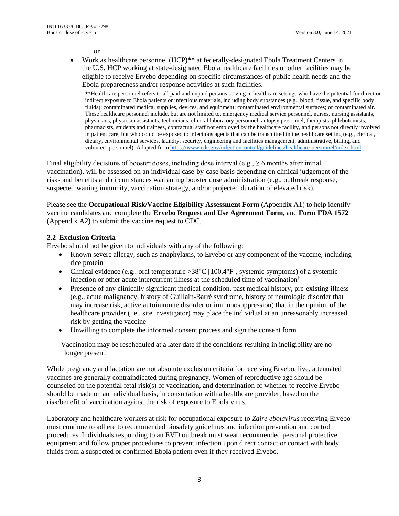or

• Work as healthcare personnel (HCP)<sup>\*\*</sup> at federally-designated Ebola Treatment Centers in the U.S. HCP working at state-designated Ebola healthcare facilities or other facilities may be eligible to receive Ervebo depending on specific circumstances of public health needs and the Ebola preparedness and/or response activities at such facilities.

\*\*Healthcare personnel refers to all paid and unpaid persons serving in healthcare settings who have the potential for direct or indirect exposure to Ebola patients or infectious materials, including body substances (e.g., blood, tissue, and specific body fluids); contaminated medical supplies, devices, and equipment; contaminated environmental surfaces; or contaminated air. These healthcare personnel include, but are not limited to, emergency medical service personnel, nurses, nursing assistants, physicians, physician assistants, technicians, clinical laboratory personnel, autopsy personnel, therapists, phlebotomists, pharmacists, students and trainees, contractual staff not employed by the healthcare facility, and persons not directly involved in patient care, but who could be exposed to infectious agents that can be transmitted in the healthcare setting (e.g., clerical, dietary, environmental services, laundry, security, engineering and facilities management, administrative, billing, and volunteer personnel). Adapted from <https://www.cdc.gov/infectioncontrol/guidelines/healthcare-personnel/index.html>

Final eligibility decisions of booster doses, including dose interval (e.g.,  $\geq 6$  months after initial vaccination), will be assessed on an individual case-by-case basis depending on clinical judgement of the risks and benefits and circumstances warranting booster dose administration (e.g., outbreak response, suspected waning immunity, vaccination strategy, and/or projected duration of elevated risk).

Please see the **Occupational Risk/Vaccine Eligibility Assessment Form** (Appendix A1) to help identify vaccine candidates and complete the **Ervebo Request and Use Agreement Form,** and **Form FDA 1572** (Appendix A2) to submit the vaccine request to CDC.

#### <span id="page-6-0"></span>**2.2 Exclusion Criteria**

Ervebo should not be given to individuals with any of the following:

- Known severe allergy, such as anaphylaxis, to Ervebo or any component of the vaccine, including rice protein
- Clinical evidence (e.g., oral temperature  $>38^{\circ}$ C [100.4 $^{\circ}$ F], systemic symptoms) of a systemic infection or other acute intercurrent illness at the scheduled time of vaccination†
- Presence of any clinically significant medical condition, past medical history, pre-existing illness (e.g., acute malignancy, history of Guillain-Barré syndrome, history of neurologic disorder that may increase risk, active autoimmune disorder or immunosuppression) that in the opinion of the healthcare provider (i.e., site investigator) may place the individual at an unreasonably increased risk by getting the vaccine
- Unwilling to complete the informed consent process and sign the consent form
- † Vaccination may be rescheduled at a later date if the conditions resulting in ineligibility are no longer present.

While pregnancy and lactation are not absolute exclusion criteria for receiving Ervebo, live, attenuated vaccines are generally contraindicated during pregnancy. Women of reproductive age should be counseled on the potential fetal risk(s) of vaccination, and determination of whether to receive Ervebo should be made on an individual basis, in consultation with a healthcare provider, based on the risk/benefit of vaccination against the risk of exposure to Ebola virus.

Laboratory and healthcare workers at risk for occupational exposure to *Zaire ebolavirus* receiving Ervebo must continue to adhere to recommended biosafety guidelines and infection prevention and control procedures. Individuals responding to an EVD outbreak must wear recommended personal protective equipment and follow proper procedures to prevent infection upon direct contact or contact with body fluids from a suspected or confirmed Ebola patient even if they received Ervebo.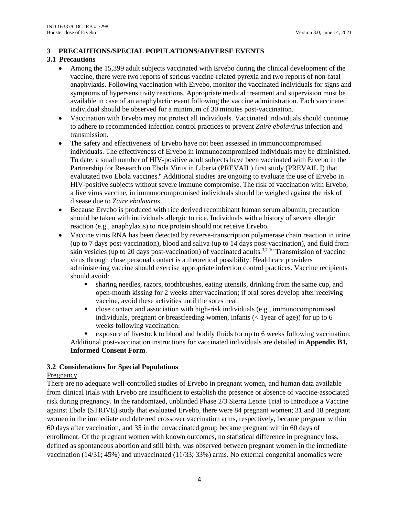# <span id="page-7-0"></span>**3 PRECAUTIONS/SPECIAL POPULATIONS/ADVERSE EVENTS**

# <span id="page-7-1"></span>**3.1 Precautions**

- Among the 15,399 adult subjects vaccinated with Ervebo during the clinical development of the vaccine, there were two reports of serious vaccine-related pyrexia and two reports of non-fatal anaphylaxis. Following vaccination with Ervebo, monitor the vaccinated individuals for signs and symptoms of hypersensitivity reactions. Appropriate medical treatment and supervision must be available in case of an anaphylactic event following the vaccine administration. Each vaccinated individual should be observed for a minimum of 30 minutes post-vaccination.
- Vaccination with Ervebo may not protect all individuals. Vaccinated individuals should continue to adhere to recommended infection control practices to prevent *Zaire ebolavirus* infection and transmission.
- The safety and effectiveness of Ervebo have not been assessed in immunocompromised individuals. The effectiveness of Ervebo in immunocompromised individuals may be diminished. To date, a small number of HIV-positive adult subjects have been vaccinated with Ervebo in the Partnership for Research on Ebola Virus in Liberia (PREVAIL) first study (PREVAIL I) that evalutated two Ebola vaccines.<sup>6</sup> Additional studies are ongoing to evaluate the use of Ervebo in HIV-positive subjects without severe immune compromise. The risk of vaccination with Ervebo, a live virus vaccine, in immunocompromised individuals should be weighed against the risk of disease due to *Zaire ebolavirus*.
- Because Ervebo is produced with rice derived recombinant human serum albumin, precaution should be taken with individuals allergic to rice. Individuals with a history of severe allergic reaction (e.g., anaphylaxis) to rice protein should not receive Ervebo.
- Vaccine virus RNA has been detected by reverse-transcription polymerase chain reaction in urine (up to 7 days post-vaccination), blood and saliva (up to 14 days post-vaccination), and fluid from skin vesicles (up to 20 days post-vaccination) of vaccinated adults.<sup>3,7-10</sup> Transmission of vaccine virus through close personal contact is a theoretical possibility. Healthcare providers administering vaccine should exercise appropriate infection control practices. Vaccine recipients should avoid:
	- sharing needles, razors, toothbrushes, eating utensils, drinking from the same cup, and open-mouth kissing for 2 weeks after vaccination; if oral sores develop after receiving vaccine, avoid these activities until the sores heal.
	- close contact and association with high-risk individuals (e.g., immunocompromised individuals, pregnant or breastfeeding women, infants  $(<$  1 year of age)) for up to 6 weeks following vaccination.

 exposure of livestock to blood and bodily fluids for up to 6 weeks following vaccination. Additional post-vaccination instructions for vaccinated individuals are detailed in **Appendix B1, Informed Consent Form**.

# <span id="page-7-2"></span>**3.2 Considerations for Special Populations**

# Pregnancy

There are no adequate well-controlled studies of Ervebo in pregnant women, and human data available from clinical trials with Ervebo are insufficient to establish the presence or absence of vaccine-associated risk during pregnancy. In the randomized, unblinded Phase 2/3 Sierra Leone Trial to Introduce a Vaccine against Ebola (STRIVE) study that evaluated Ervebo, there were 84 pregnant women; 31 and 18 pregnant women in the immediate and deferred crossover vaccination arms, respectively, became pregnant within 60 days after vaccination, and 35 in the unvaccinated group became pregnant within 60 days of enrollment. Of the pregnant women with known outcomes, no statistical difference in pregnancy loss, defined as spontaneous abortion and still birth, was observed between pregnant women in the immediate vaccination (14/31; 45%) and unvaccinated (11/33; 33%) arms. No external congenital anomalies were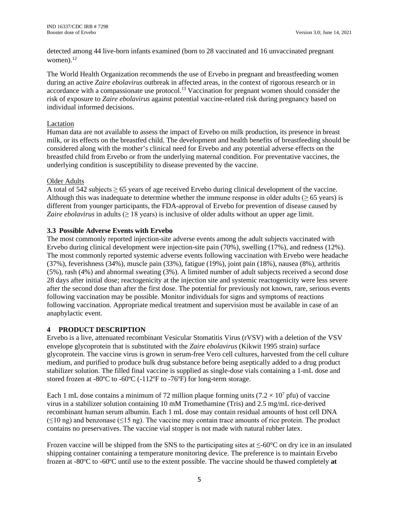detected among 44 live-born infants examined (born to 28 vaccinated and 16 unvaccinated pregnant women). $^{12}$ 

The World Health Organization recommends the use of Ervebo in pregnant and breastfeeding women during an active *Zaire ebolavirus* outbreak in affected areas, in the context of rigorous research or in accordance with a compassionate use protocol.<sup>13</sup> Vaccination for pregnant women should consider the risk of exposure to *Zaire ebolavirus* against potential vaccine-related risk during pregnancy based on individual informed decisions.

#### Lactation

Human data are not available to assess the impact of Ervebo on milk production, its presence in breast milk, or its effects on the breastfed child. The development and health benefits of breastfeeding should be considered along with the mother's clinical need for Ervebo and any potential adverse effects on the breastfed child from Ervebo or from the underlying maternal condition. For preventative vaccines, the underlying condition is susceptibility to disease prevented by the vaccine.

# Older Adults

A total of 542 subjects ≥ 65 years of age received Ervebo during clinical development of the vaccine. Although this was inadequate to determine whether the immune response in older adults ( $\geq 65$  years) is different from younger participants, the FDA-approval of Ervebo for prevention of disease caused by *Zaire ebolavirus* in adults ( $\geq 18$  years) is inclusive of older adults without an upper age limit.

# <span id="page-8-0"></span>**3.3 Possible Adverse Events with Ervebo**

The most commonly reported injection-site adverse events among the adult subjects vaccinated with Ervebo during clinical development were injection-site pain (70%), swelling (17%), and redness (12%). The most commonly reported systemic adverse events following vaccination with Ervebo were headache (37%), feverishness (34%), muscle pain (33%), fatigue (19%), joint pain (18%), nausea (8%), arthritis (5%), rash (4%) and abnormal sweating (3%). A limited number of adult subjects received a second dose 28 days after initial dose; reactogenicity at the injection site and systemic reactogenicity were less severe after the second dose than after the first dose. The potential for previously not known, rare, serious events following vaccination may be possible. Monitor individuals for signs and symptoms of reactions following vaccination. Appropriate medical treatment and supervision must be available in case of an anaphylactic event.

# <span id="page-8-1"></span>**4 PRODUCT DESCRIPTION**

Ervebo is a live, attenuated recombinant Vesicular Stomatitis Virus (rVSV) with a deletion of the VSV envelope glycoprotein that is substituted with the *Zaire ebolavirus* (Kikwit 1995 strain) surface glycoprotein. The vaccine virus is grown in serum-free Vero cell cultures, harvested from the cell culture medium, and purified to produce bulk drug substance before being aseptically added to a drug product stabilizer solution. The filled final vaccine is supplied as single-dose vials containing a 1-mL dose and stored frozen at -80ºC to -60ºC (-112ºF to -76ºF) for long-term storage.

Each 1 mL dose contains a minimum of 72 million plaque forming units  $(7.2 \times 10^7 \text{ pft})$  of vaccine virus in a stabilizer solution containing 10 mM Tromethamine (Tris) and 2.5 mg/mL rice-derived recombinant human serum albumin. Each 1 mL dose may contain residual amounts of host cell DNA  $(\leq 10 \text{ ng})$  and benzonase ( $\leq 15 \text{ ng}$ ). The vaccine may contain trace amounts of rice protein. The product contains no preservatives. The vaccine vial stopper is not made with natural rubber latex.

Frozen vaccine will be shipped from the SNS to the participating sites at ≤-60°C on dry ice in an insulated shipping container containing a temperature monitoring device. The preference is to maintain Ervebo frozen at -80ºC to -60ºC until use to the extent possible. The vaccine should be thawed completely **at**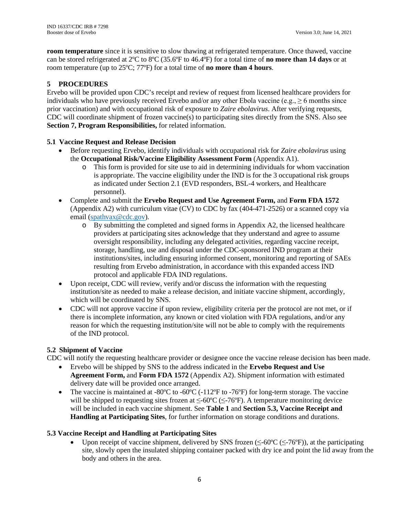**room temperature** since it is sensitive to slow thawing at refrigerated temperature. Once thawed, vaccine can be stored refrigerated at 2ºC to 8ºC (35.6ºF to 46.4ºF) for a total time of **no more than 14 days** or at room temperature (up to 25ºC; 77ºF) for a total time of **no more than 4 hours**.

# <span id="page-9-0"></span>**5 PROCEDURES**

Ervebo will be provided upon CDC's receipt and review of request from licensed healthcare providers for individuals who have previously received Ervebo and/or any other Ebola vaccine (e.g.,  $\geq 6$  months since prior vaccination) and with occupational risk of exposure to *Zaire ebolavirus*. After verifying requests, CDC will coordinate shipment of frozen vaccine(s) to participating sites directly from the SNS. Also see **Section 7, Program Responsibilities,** for related information.

# <span id="page-9-1"></span>**5.1 Vaccine Request and Release Decision**

- Before requesting Ervebo, identify individuals with occupational risk for *Zaire ebolavirus* using the **Occupational Risk/Vaccine Eligibility Assessment Form** (Appendix A1).
	- o This form is provided for site use to aid in determining individuals for whom vaccination is appropriate. The vaccine eligibility under the IND is for the 3 occupational risk groups as indicated under Section 2.1 (EVD responders, BSL-4 workers, and Healthcare personnel).
- Complete and submit the **Ervebo Request and Use Agreement Form,** and **Form FDA 1572** (Appendix A2) with curriculum vitae (CV) to CDC by fax (404-471-2526) or a scanned copy via email [\(spathvax@cdc.gov\)](mailto:spathvax@cdc.gov).
	- o By submitting the completed and signed forms in Appendix A2, the licensed healthcare providers at participating sites acknowledge that they understand and agree to assume oversight responsibility, including any delegated activities, regarding vaccine receipt, storage, handling, use and disposal under the CDC-sponsored IND program at their institutions/sites, including ensuring informed consent, monitoring and reporting of SAEs resulting from Ervebo administration, in accordance with this expanded access IND protocol and applicable FDA IND regulations.
- Upon receipt, CDC will review, verify and/or discuss the information with the requesting institution/site as needed to make a release decision, and initiate vaccine shipment, accordingly, which will be coordinated by SNS.
- CDC will not approve vaccine if upon review, eligibility criteria per the protocol are not met, or if there is incomplete information, any known or cited violation with FDA regulations, and/or any reason for which the requesting institution/site will not be able to comply with the requirements of the IND protocol.

# <span id="page-9-2"></span>**5.2 Shipment of Vaccine**

CDC will notify the requesting healthcare provider or designee once the vaccine release decision has been made.

- Ervebo will be shipped by SNS to the address indicated in the **Ervebo Request and Use Agreement Form,** and **Form FDA 1572** (Appendix A2). Shipment information with estimated delivery date will be provided once arranged.
- The vaccine is maintained at -80 $^{\circ}$ C to -60 $^{\circ}$ C (-112 $^{\circ}$ F to -76 $^{\circ}$ F) for long-term storage. The vaccine will be shipped to requesting sites frozen at  $\leq 60^{\circ}$ C ( $\leq$ -76°F). A temperature monitoring device will be included in each vaccine shipment. See **Table 1** and **Section 5.3, Vaccine Receipt and Handling at Participating Sites**, for further information on storage conditions and durations.

# <span id="page-9-3"></span>**5.3 Vaccine Receipt and Handling at Participating Sites**

• Upon receipt of vaccine shipment, delivered by SNS frozen ( $\leq$ -60°C ( $\leq$ -76°F)), at the participating site, slowly open the insulated shipping container packed with dry ice and point the lid away from the body and others in the area.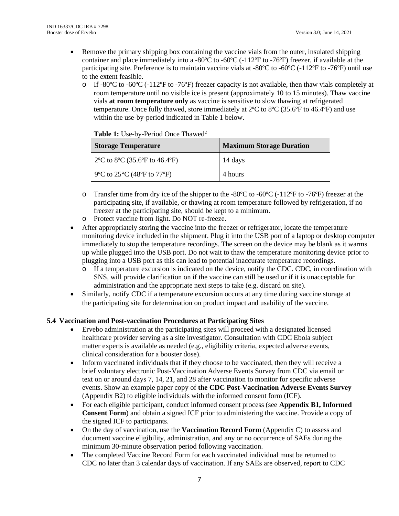- Remove the primary shipping box containing the vaccine vials from the outer, insulated shipping container and place immediately into a -80 $^{\circ}$ C to -60 $^{\circ}$ C (-112 $^{\circ}$ F to -76 $^{\circ}$ F) freezer, if available at the participating site. Preference is to maintain vaccine vials at -80ºC to -60ºC (-112ºF to -76ºF) until use to the extent feasible.
	- $\circ$  If -80°C to -60°C (-112°F to -76°F) freezer capacity is not available, then thaw vials completely at room temperature until no visible ice is present (approximately 10 to 15 minutes). Thaw vaccine vials **at room temperature only** as vaccine is sensitive to slow thawing at refrigerated temperature. Once fully thawed, store immediately at 2ºC to 8ºC (35.6ºF to 46.4ºF) and use within the use-by-period indicated in Table 1 below.

| <b>Storage Temperature</b>     | <b>Maximum Storage Duration</b> |  |  |
|--------------------------------|---------------------------------|--|--|
| 2°C to 8°C (35.6°F to 46.4°F)  | 14 days                         |  |  |
| 9 °C to 25 °C (48 °F to 77 °F) | 4 hours                         |  |  |

#### **Table 1:** Use-by-Period Once Thawed2

- $\circ$  Transfer time from dry ice of the shipper to the -80°C to -60°C (-112°F to -76°F) freezer at the participating site, if available, or thawing at room temperature followed by refrigeration, if no freezer at the participating site, should be kept to a minimum.
- o Protect vaccine from light. Do NOT re-freeze.
- After appropriately storing the vaccine into the freezer or refrigerator, locate the temperature monitoring device included in the shipment. Plug it into the USB port of a laptop or desktop computer immediately to stop the temperature recordings. The screen on the device may be blank as it warms up while plugged into the USB port. Do not wait to thaw the temperature monitoring device prior to plugging into a USB port as this can lead to potential inaccurate temperature recordings.
	- o If a temperature excursion is indicated on the device, notify the CDC. CDC, in coordination with SNS, will provide clarification on if the vaccine can still be used or if it is unacceptable for administration and the appropriate next steps to take (e.g. discard on site).
- Similarly, notify CDC if a temperature excursion occurs at any time during vaccine storage at the participating site for determination on product impact and usability of the vaccine.

#### <span id="page-10-0"></span>**5.4 Vaccination and Post-vaccination Procedures at Participating Sites**

- Ervebo administration at the participating sites will proceed with a designated licensed healthcare provider serving as a site investigator. Consultation with CDC Ebola subject matter experts is available as needed (e.g., eligibility criteria, expected adverse events, clinical consideration for a booster dose).
- Inform vaccinated individuals that if they choose to be vaccinated, then they will receive a brief voluntary electronic Post-Vaccination Adverse Events Survey from CDC via email or text on or around days 7, 14, 21, and 28 after vaccination to monitor for specific adverse events. Show an example paper copy of **the CDC Post-Vaccination Adverse Events Survey** (Appendix B2) to eligible individuals with the informed consent form (ICF).
- For each eligible participant, conduct informed consent process (see **Appendix B1, Informed Consent Form**) and obtain a signed ICF prior to administering the vaccine. Provide a copy of the signed ICF to participants.
- On the day of vaccination, use the **Vaccination Record Form** (Appendix C) to assess and document vaccine eligibility, administration, and any or no occurrence of SAEs during the minimum 30-minute observation period following vaccination.
- The completed Vaccine Record Form for each vaccinated individual must be returned to CDC no later than 3 calendar days of vaccination. If any SAEs are observed, report to CDC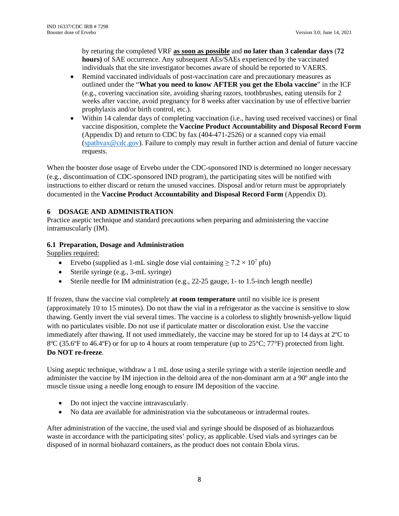by returing the completed VRF **as soon as possible** and **no later than 3 calendar days** (**72 hours)** of SAE occurrence. Any subsequent AEs/SAEs experienced by the vaccinated individuals that the site investigator becomes aware of should be reported to VAERS.

- Remind vaccinated individuals of post-vaccination care and precautionary measures as outlined under the "**What you need to know AFTER you get the Ebola vaccine**" in the ICF (e.g., covering vaccination site, avoiding sharing razors, toothbrushes, eating utensils for 2 weeks after vaccine, avoid pregnancy for 8 weeks after vaccination by use of effective barrier prophylaxis and/or birth control, etc.).
- Within 14 calendar days of completing vaccination (i.e., having used received vaccines) or final vaccine disposition, complete the **Vaccine Product Accountability and Disposal Record Form** (Appendix D) and return to CDC by fax (404-471-2526) or a scanned copy via email [\(spathvax@cdc.gov\)](mailto:spathvax@cdc.gov). Failure to comply may result in further action and denial of future vaccine requests.

When the booster dose usage of Ervebo under the CDC-sponsored IND is determined no longer necessary (e.g., discontinuation of CDC-sponsored IND program), the participating sites will be notified with instructions to either discard or return the unused vaccines. Disposal and/or return must be appropriately documented in the **Vaccine Product Accountability and Disposal Record Form** (Appendix D).

# <span id="page-11-0"></span>**6 DOSAGE AND ADMINISTRATION**

Practice aseptic technique and standard precautions when preparing and administering the vaccine intramuscularly (IM).

# <span id="page-11-1"></span>**6.1 Preparation, Dosage and Administration**

Supplies required:

- Ervebo (supplied as 1-mL single dose vial containing  $\geq 7.2 \times 10^7$  pfu)
- Sterile syringe (e.g., 3-mL syringe)
- Sterile needle for IM administration (e.g., 22-25 gauge, 1- to 1.5-inch length needle)

If frozen, thaw the vaccine vial completely **at room temperature** until no visible ice is present (approximately 10 to 15 minutes). Do not thaw the vial in a refrigerator as the vaccine is sensitive to slow thawing. Gently invert the vial several times. The vaccine is a colorless to slightly brownish-yellow liquid with no particulates visible. Do not use if particulate matter or discoloration exist. Use the vaccine immediately after thawing. If not used immediately, the vaccine may be stored for up to 14 days at 2ºC to 8ºC (35.6ºF to 46.4ºF) or for up to 4 hours at room temperature (up to 25°C; 77°F) protected from light. **Do NOT re-freeze**.

Using aseptic technique, withdraw a 1 mL dose using a sterile syringe with a sterile injection needle and administer the vaccine by IM injection in the deltoid area of the non-dominant arm at a 90º angle into the muscle tissue using a needle long enough to ensure IM deposition of the vaccine.

- Do not inject the vaccine intravascularly.
- No data are available for administration via the subcutaneous or intradermal routes.

After administration of the vaccine, the used vial and syringe should be disposed of as biohazardous waste in accordance with the participating sites' policy, as applicable. Used vials and syringes can be disposed of in normal biohazard containers, as the product does not contain Ebola virus.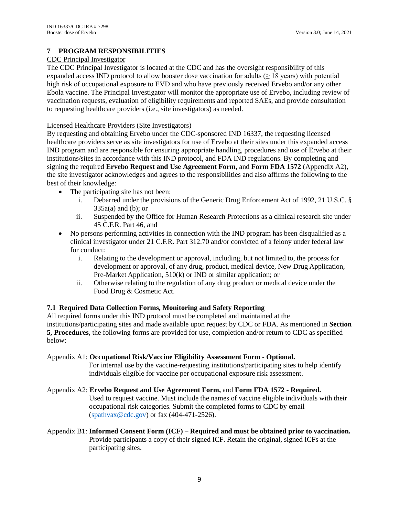# <span id="page-12-0"></span>**7 PROGRAM RESPONSIBILITIES**

# CDC Principal Investigator

The CDC Principal Investigator is located at the CDC and has the oversight responsibility of this expanded access IND protocol to allow booster dose vaccination for adults  $(≥ 18 \text{ years})$  with potential high risk of occupational exposure to EVD and who have previously received Ervebo and/or any other Ebola vaccine. The Principal Investigator will monitor the appropriate use of Ervebo, including review of vaccination requests, evaluation of eligibility requirements and reported SAEs, and provide consultation to requesting healthcare providers (i.e., site investigators) as needed.

## Licensed Healthcare Providers (Site Investigators)

By requesting and obtaining Ervebo under the CDC-sponsored IND 16337, the requesting licensed healthcare providers serve as site investigators for use of Ervebo at their sites under this expanded access IND program and are responsible for ensuring appropriate handling, procedures and use of Ervebo at their institutions/sites in accordance with this IND protocol, and FDA IND regulations. By completing and signing the required **Ervebo Request and Use Agreement Form,** and **Form FDA 1572** (Appendix A2), the site investigator acknowledges and agrees to the responsibilities and also affirms the following to the best of their knowledge:

- The participating site has not been:
	- i. Debarred under the provisions of the Generic Drug Enforcement Act of 1992, 21 U.S.C. §  $335a(a)$  and (b); or
	- ii. Suspended by the Office for Human Research Protections as a clinical research site under 45 C.F.R. Part 46, and
- No persons performing activities in connection with the IND program has been disqualified as a clinical investigator under 21 C.F.R. Part 312.70 and/or convicted of a felony under federal law for conduct:
	- i. Relating to the development or approval, including, but not limited to, the process for development or approval, of any drug, product, medical device, New Drug Application, Pre-Market Application, 510(k) or IND or similar application; or
	- ii. Otherwise relating to the regulation of any drug product or medical device under the Food Drug & Cosmetic Act.

# <span id="page-12-1"></span>**7.1 Required Data Collection Forms, Monitoring and Safety Reporting**

All required forms under this IND protocol must be completed and maintained at the institutions/participating sites and made available upon request by CDC or FDA. As mentioned in **Section 5, Procedures**, the following forms are provided for use, completion and/or return to CDC as specified below:

#### Appendix A1: **Occupational Risk/Vaccine Eligibility Assessment Form** - **Optional.**

For internal use by the vaccine-requesting institutions/participating sites to help identify individuals eligible for vaccine per occupational exposure risk assessment.

#### Appendix A2: **Ervebo Request and Use Agreement Form,** and **Form FDA 1572 - Required.**

Used to request vaccine. Must include the names of vaccine eligible individuals with their occupational risk categories. Submit the completed forms to CDC by email [\(spathvax@cdc.gov\)](mailto:spathvax@cdc.gov) or fax (404-471-2526).

## Appendix B1: **Informed Consent Form (ICF)** – **Required and must be obtained prior to vaccination.**  Provide participants a copy of their signed ICF. Retain the original, signed ICFs at the participating sites.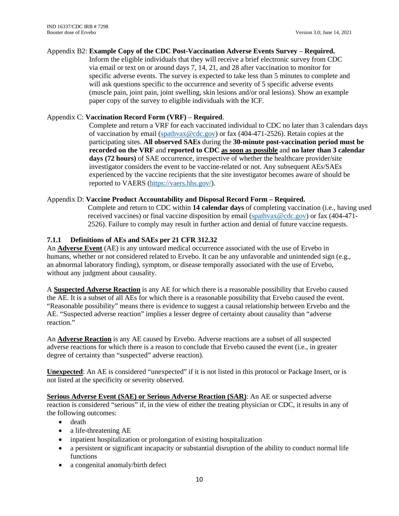#### Appendix B2: **Example Copy of the CDC Post-Vaccination Adverse Events Survey** – **Required.**

Inform the eligible individuals that they will receive a brief electronic survey from CDC via email or text on or around days 7, 14, 21, and 28 after vaccination to monitor for specific adverse events. The survey is expected to take less than 5 minutes to complete and will ask questions specific to the occurrence and severity of 5 specific adverse events (muscle pain, joint pain, joint swelling, skin lesions and/or oral lesions). Show an example paper copy of the survey to eligible individuals with the ICF.

## Appendix C: **Vaccination Record Form (VRF)** – **Required**.

Complete and return a VRF for each vaccinated individual to CDC no later than 3 calendars days of vaccination by email [\(spathvax@cdc.gov\)](mailto:spathvax@cdc.gov) or fax (404-471-2526). Retain copies at the participating sites. **All observed SAEs** during the **30-minute post-vaccination period must be recorded on the VRF** and **reported to CDC as soon as possible** and **no later than 3 calendar days (72 hours)** of SAE occurrence, irrespective of whether the healthcare provider/site investigator considers the event to be vaccine-related or not. Any subsequent AEs/SAEs experienced by the vaccine recipients that the site investigator becomes aware of should be reported to VAERS [\(https://vaers.hhs.gov/\)](https://vaers.hhs.gov/).

# Appendix D: **Vaccine Product Accountability and Disposal Record Form – Required.**

Complete and return to CDC within **14 calendar days** of completing vaccination (i.e., having used received vaccines) or final vaccine disposition by email [\(spathvax@cdc.gov\)](mailto:spathvax@cdc.gov) or fax (404-471- 2526). Failure to comply may result in further action and denial of future vaccine requests.

# <span id="page-13-0"></span>**7.1.1 Definitions of AEs and SAEs per 21 CFR 312.32**

An **Adverse Event** (AE) is any untoward medical occurrence associated with the use of Ervebo in humans, whether or not considered related to Ervebo. It can be any unfavorable and unintended sign (e.g., an abnormal laboratory finding), symptom, or disease temporally associated with the use of Ervebo, without any judgment about causality.

A **Suspected Adverse Reaction** is any AE for which there is a reasonable possibility that Ervebo caused the AE. It is a subset of all AEs for which there is a reasonable possibility that Ervebo caused the event. "Reasonable possibility" means there is evidence to suggest a causal relationship between Ervebo and the AE. "Suspected adverse reaction" implies a lesser degree of certainty about causality than "adverse reaction."

An **Adverse Reaction** is any AE caused by Ervebo. Adverse reactions are a subset of all suspected adverse reactions for which there is a reason to conclude that Ervebo caused the event (i.e., in greater degree of certainty than "suspected" adverse reaction).

**Unexpected**: An AE is considered "unexpected" if it is not listed in this protocol or Package Insert, or is not listed at the specificity or severity observed.

**Serious Adverse Event (SAE) or Serious Adverse Reaction (SAR)**: An AE or suspected adverse reaction is considered "serious" if, in the view of either the treating physician or CDC, it results in any of the following outcomes:

- death
- a life-threatening AE
- inpatient hospitalization or prolongation of existing hospitalization
- a persistent or significant incapacity or substantial disruption of the ability to conduct normal life functions
- a congenital anomaly/birth defect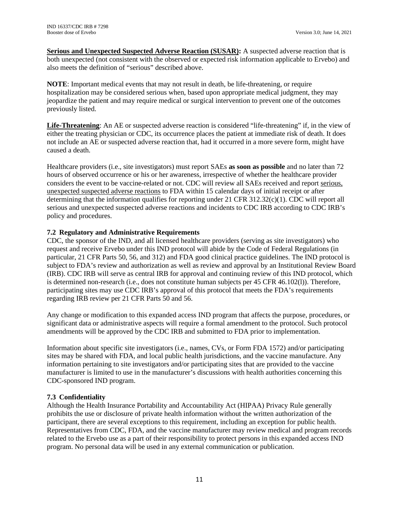**Serious and Unexpected Suspected Adverse Reaction (SUSAR):** A suspected adverse reaction that is both unexpected (not consistent with the observed or expected risk information applicable to Ervebo) and also meets the definition of "serious" described above.

**NOTE**: Important medical events that may not result in death, be life-threatening, or require hospitalization may be considered serious when, based upon appropriate medical judgment, they may jeopardize the patient and may require medical or surgical intervention to prevent one of the outcomes previously listed.

**Life-Threatening**: An AE or suspected adverse reaction is considered "life-threatening" if, in the view of either the treating physician or CDC, its occurrence places the patient at immediate risk of death. It does not include an AE or suspected adverse reaction that, had it occurred in a more severe form, might have caused a death.

Healthcare providers (i.e., site investigators) must report SAEs **as soon as possible** and no later than 72 hours of observed occurrence or his or her awareness, irrespective of whether the healthcare provider considers the event to be vaccine-related or not. CDC will review all SAEs received and report serious, unexpected suspected adverse reactions to FDA within 15 calendar days of initial receipt or after determining that the information qualifies for reporting under 21 CFR 312.32(c)(1). CDC will report all serious and unexpected suspected adverse reactions and incidents to CDC IRB according to CDC IRB's policy and procedures.

# <span id="page-14-0"></span>**7.2 Regulatory and Administrative Requirements**

CDC, the sponsor of the IND, and all licensed healthcare providers (serving as site investigators) who request and receive Ervebo under this IND protocol will abide by the Code of Federal Regulations (in particular, 21 CFR Parts 50, 56, and 312) and FDA good clinical practice guidelines. The IND protocol is subject to FDA's review and authorization as well as review and approval by an Institutional Review Board (IRB). CDC IRB will serve as central IRB for approval and continuing review of this IND protocol, which is determined non-research (i.e., does not constitute human subjects per 45 CFR 46.102(l)). Therefore, participating sites may use CDC IRB's approval of this protocol that meets the FDA's requirements regarding IRB review per 21 CFR Parts 50 and 56.

Any change or modification to this expanded access IND program that affects the purpose, procedures, or significant data or administrative aspects will require a formal amendment to the protocol. Such protocol amendments will be approved by the CDC IRB and submitted to FDA prior to implementation.

Information about specific site investigators (i.e., names, CVs, or Form FDA 1572) and/or participating sites may be shared with FDA, and local public health jurisdictions, and the vaccine manufacture. Any information pertaining to site investigators and/or participating sites that are provided to the vaccine manufacturer is limited to use in the manufacturer's discussions with health authorities concerning this CDC-sponsored IND program.

#### <span id="page-14-1"></span>**7.3 Confidentiality**

Although the Health Insurance Portability and Accountability Act (HIPAA) Privacy Rule generally prohibits the use or disclosure of private health information without the written authorization of the participant, there are several exceptions to this requirement, including an exception for public health. Representatives from CDC, FDA, and the vaccine manufacturer may review medical and program records related to the Ervebo use as a part of their responsibility to protect persons in this expanded access IND program. No personal data will be used in any external communication or publication.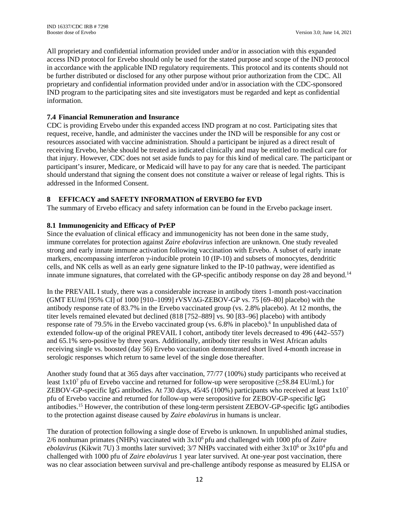All proprietary and confidential information provided under and/or in association with this expanded access IND protocol for Ervebo should only be used for the stated purpose and scope of the IND protocol in accordance with the applicable IND regulatory requirements. This protocol and its contents should not be further distributed or disclosed for any other purpose without prior authorization from the CDC. All proprietary and confidential information provided under and/or in association with the CDC-sponsored IND program to the participating sites and site investigators must be regarded and kept as confidential information.

# <span id="page-15-0"></span>**7.4 Financial Remuneration and Insurance**

CDC is providing Ervebo under this expanded access IND program at no cost. Participating sites that request, receive, handle, and administer the vaccines under the IND will be responsible for any cost or resources associated with vaccine administration. Should a participant be injured as a direct result of receiving Ervebo, he/she should be treated as indicated clinically and may be entitled to medical care for that injury. However, CDC does not set aside funds to pay for this kind of medical care. The participant or participant's insurer, Medicare, or Medicaid will have to pay for any care that is needed. The participant should understand that signing the consent does not constitute a waiver or release of legal rights. This is addressed in the Informed Consent.

# <span id="page-15-1"></span>**8 EFFICACY and SAFETY INFORMATION of ERVEBO for EVD**

The summary of Ervebo efficacy and safety information can be found in the Ervebo package insert.

# <span id="page-15-2"></span>**8.1 Immunogenicity and Efficacy of PrEP**

Since the evaluation of clinical efficacy and immunogenicity has not been done in the same study, immune correlates for protection against *Zaire ebolavirus* infection are unknown. One study revealed strong and early innate immune activation following vaccination with Ervebo. A subset of early innate markers, encompassing interferon γ-inducible protein 10 (IP-10) and subsets of monocytes, dendritic cells, and NK cells as well as an early gene signature linked to the IP-10 pathway, were identified as innate immune signatures, that correlated with the GP-specific antibody response on day 28 and beyond.<sup>14</sup>

In the PREVAIL I study, there was a considerable increase in antibody titers 1-month post-vaccination (GMT EU/ml [95% CI] of 1000 [910–1099] rVSVΔG-ZEBOV-GP vs. 75 [69–80] placebo) with the antibody response rate of 83.7% in the Ervebo vaccinated group (vs. 2.8% placebo). At 12 months, the titer levels remained elevated but declined (818 [752–889] vs. 90 [83–96] placebo) with antibody response rate of 79.5% in the Ervebo vaccinated group (vs. 6.8% in placebo).<sup>6</sup> In unpublished data of extended follow-up of the original PREVAIL I cohort, antibody titer levels decreased to 496 (442–557) and 65.1% sero-positive by three years. Additionally, antibody titer results in West African adults receiving single vs. boosted (day 56) Ervebo vaccination demonstrated short lived 4-month increase in serologic responses which return to same level of the single dose thereafter.

Another study found that at 365 days after vaccination, 77/77 (100%) study participants who received at least  $1x10^7$  pfu of Ervebo vaccine and returned for follow-up were seropositive ( $\geq$ 58.84 EU/mL) for ZEBOV-GP-specific IgG antibodies. At 730 days,  $45/45$  (100%) participants who received at least  $1x10^7$ pfu of Ervebo vaccine and returned for follow-up were seropositive for ZEBOV-GP-specific IgG antibodies.15 However, the contribution of these long-term persistent ZEBOV-GP-specific IgG antibodies to the protection against disease caused by *Zaire ebolavirus* in humans is unclear.

The duration of protection following a single dose of Ervebo is unknown. In unpublished animal studies, 2/6 nonhuman primates (NHPs) vaccinated with 3x106 pfu and challenged with 1000 pfu of *Zaire ebolavirus* (Kikwit 7U) 3 months later survived; 3/7 NHPs vaccinated with either 3x10<sup>6</sup> or 3x10<sup>4</sup> pfu and challenged with 1000 pfu of *Zaire ebolavirus* 1 year later survived. At one-year post vaccination, there was no clear association between survival and pre-challenge antibody response as measured by ELISA or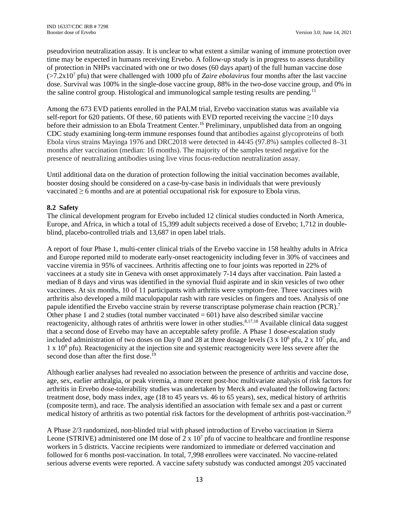pseudovirion neutralization assay. It is unclear to what extent a similar waning of immune protection over time may be expected in humans receiving Ervebo. A follow-up study is in progress to assess durability of protection in NHPs vaccinated with one or two doses (60 days apart) of the full human vaccine dose  $(>=7.2x10<sup>7</sup>$  pfu) that were challenged with 1000 pfu of *Zaire ebolavirus* four months after the last vaccine dose. Survival was 100% in the single-dose vaccine group, 88% in the two-dose vaccine group, and 0% in the saline control group. Histological and immunological sample testing results are pending.<sup>11</sup>

Among the 673 EVD patients enrolled in the PALM trial, Ervebo vaccination status was available via self-report for 620 patients. Of these, 60 patients with EVD reported receiving the vaccine ≥10 days before their admission to an Ebola Treatment Center.<sup>16</sup> Preliminary, unpublished data from an ongoing CDC study examining long-term immune responses found that antibodies against glycoproteins of both Ebola virus strains Mayinga 1976 and DRC2018 were detected in 44/45 (97.8%) samples collected 8–31 months after vaccination (median: 16 months). The majority of the samples tested negative for the presence of neutralizing antibodies using live virus focus-reduction neutralization assay.

Until additional data on the duration of protection following the initial vaccination becomes available, booster dosing should be considered on a case-by-case basis in individuals that were previously vaccinated ≥ 6 months and are at potential occupational risk for exposure to Ebola virus.

# <span id="page-16-0"></span>**8.2 Safety**

The clinical development program for Ervebo included 12 clinical studies conducted in North America, Europe, and Africa, in which a total of 15,399 adult subjects received a dose of Ervebo; 1,712 in doubleblind, placebo-controlled trials and 13,687 in open label trials.

A report of four Phase 1, multi-center clinical trials of the Ervebo vaccine in 158 healthy adults in Africa and Europe reported mild to moderate early-onset reactogenicity including fever in 30% of vaccinees and vaccine viremia in 95% of vaccinees. Arthritis affecting one to four joints was reported in 22% of vaccinees at a study site in Geneva with onset approximately 7-14 days after vaccination. Pain lasted a median of 8 days and virus was identified in the synovial fluid aspirate and in skin vesicles of two other vaccinees. At six months, 10 of 11 participants with arthritis were symptom-free. Three vaccinees with arthritis also developed a mild maculopapular rash with rare vesicles on fingers and toes. Analysis of one papule identified the Ervebo vaccine strain by reverse transcriptase polymerase chain reaction (PCR).<sup>7</sup> Other phase 1 and 2 studies (total number vaccinated  $= 601$ ) have also described similar vaccine reactogenicity, although rates of arthritis were lower in other studies.<sup>8,17,18</sup> Available clinical data suggest that a second dose of Ervebo may have an acceptable safety profile. A Phase 1 dose-escalation study included administration of two doses on Day 0 and 28 at three dosage levels  $(3 \times 10^6 \text{ pftu}, 2 \times 10^7 \text{ pftu}, \text{and})$  $1 \times 10^8$  pfu). Reactogenicity at the injection site and systemic reactogenicity were less severe after the second dose than after the first dose.<sup>19</sup>

Although earlier analyses had revealed no association between the presence of arthritis and vaccine dose, age, sex, earlier arthralgia, or peak viremia, a more recent post-hoc multivariate analysis of risk factors for arthritis in Ervebo dose-tolerability studies was undertaken by Merck and evaluated the following factors: treatment dose, body mass index, age (18 to 45 years vs. 46 to 65 years), sex, medical history of arthritis (composite term), and race. The analysis identified an association with female sex and a past or current medical history of arthritis as two potential risk factors for the development of arthritis post-vaccination. 20

A Phase 2/3 randomized, non-blinded trial with phased introduction of Ervebo vaccination in Sierra Leone (STRIVE) administered one IM dose of 2 x  $10<sup>7</sup>$  pfu of vaccine to healthcare and frontline response workers in 5 districts. Vaccine recipients were randomized to immediate or deferred vaccination and followed for 6 months post-vaccination. In total, 7,998 enrollees were vaccinated. No vaccine-related serious adverse events were reported. A vaccine safety substudy was conducted amongst 205 vaccinated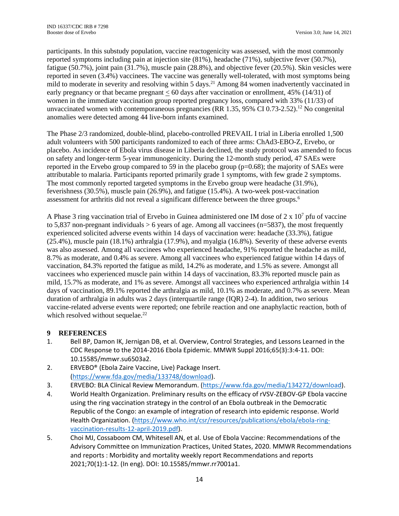participants. In this substudy population, vaccine reactogenicity was assessed, with the most commonly reported symptoms including pain at injection site (81%), headache (71%), subjective fever (50.7%), fatigue (50.7%), joint pain (31.7%), muscle pain (28.8%), and objective fever (20.5%). Skin vesicles were reported in seven (3.4%) vaccinees. The vaccine was generally well-tolerated, with most symptoms being mild to moderate in severity and resolving within 5 days. <sup>21</sup> Among 84 women inadvertently vaccinated in early pregnancy or that became pregnant < 60 days after vaccination or enrollment, 45% (14/31) of women in the immediate vaccination group reported pregnancy loss, compared with 33% (11/33) of unvaccinated women with contemporaneous pregnancies (RR 1.35, 95% CI 0.73-2.52). <sup>12</sup> No congenital anomalies were detected among 44 live-born infants examined.

The Phase 2/3 randomized, double-blind, placebo-controlled PREVAIL I trial in Liberia enrolled 1,500 adult volunteers with 500 participants randomized to each of three arms: ChAd3-EBO-Z, Ervebo, or placebo. As incidence of Ebola virus disease in Liberia declined, the study protocol was amended to focus on safety and longer-term 5-year immunogenicity. During the 12-month study period, 47 SAEs were reported in the Ervebo group compared to 59 in the placebo group  $(p=0.68)$ ; the majority of SAEs were attributable to malaria. Participants reported primarily grade 1 symptoms, with few grade 2 symptoms. The most commonly reported targeted symptoms in the Ervebo group were headache (31.9%), feverishness (30.5%), muscle pain (26.9%), and fatigue (15.4%). A two-week post-vaccination assessment for arthritis did not reveal a significant difference between the three groups. 6

A Phase 3 ring vaccination trial of Ervebo in Guinea administered one IM dose of  $2 \times 10^7$  pfu of vaccine to 5,837 non-pregnant individuals  $> 6$  years of age. Among all vaccinees (n=5837), the most frequently experienced solicited adverse events within 14 days of vaccination were: headache (33.3%), fatigue (25.4%), muscle pain (18.1%) arthralgia (17.9%), and myalgia (16.8%). Severity of these adverse events was also assessed. Among all vaccinees who experienced headache, 91% reported the headache as mild, 8.7% as moderate, and 0.4% as severe. Among all vaccinees who experienced fatigue within 14 days of vaccination, 84.3% reported the fatigue as mild, 14.2% as moderate, and 1.5% as severe. Amongst all vaccinees who experienced muscle pain within 14 days of vaccination, 83.3% reported muscle pain as mild, 15.7% as moderate, and 1% as severe. Amongst all vaccinees who experienced arthralgia within 14 days of vaccination, 89.1% reported the arthralgia as mild, 10.1% as moderate, and 0.7% as severe. Mean duration of arthralgia in adults was 2 days (interquartile range (IQR) 2-4). In addition, two serious vaccine-related adverse events were reported; one febrile reaction and one anaphylactic reaction, both of which resolved without sequelae.<sup>22</sup>

#### <span id="page-17-0"></span>**9 REFERENCES**

- 1. Bell BP, Damon IK, Jernigan DB, et al. Overview, Control Strategies, and Lessons Learned in the CDC Response to the 2014-2016 Ebola Epidemic. MMWR Suppl 2016;65(3):3:4-11. DOI: 10.15585/mmwr.su6503a2.
- 2. ERVEBO® (Ebola Zaire Vaccine, Live) Package Insert. [\(https://www.fda.gov/media/133748/download\)](https://www.fda.gov/media/133748/download).
- 3. ERVEBO: BLA Clinical Review Memorandum. [\(https://www.fda.gov/media/134272/download\)](https://www.fda.gov/media/134272/download).
- 4. World Health Organization. Preliminary results on the efficacy of rVSV-ZEBOV-GP Ebola vaccine using the ring vaccination strategy in the control of an Ebola outbreak in the Democratic Republic of the Congo: an example of integration of research into epidemic response. World Health Organization. [\(https://www.who.int/csr/resources/publications/ebola/ebola-ring](https://www.who.int/csr/resources/publications/ebola/ebola-ring-vaccination-results-12-april-2019.pdf)[vaccination-results-12-april-2019.pdf\)](https://www.who.int/csr/resources/publications/ebola/ebola-ring-vaccination-results-12-april-2019.pdf).
- 5. Choi MJ, Cossaboom CM, Whitesell AN, et al. Use of Ebola Vaccine: Recommendations of the Advisory Committee on Immunization Practices, United States, 2020. MMWR Recommendations and reports : Morbidity and mortality weekly report Recommendations and reports 2021;70(1):1-12. (In eng). DOI: 10.15585/mmwr.rr7001a1.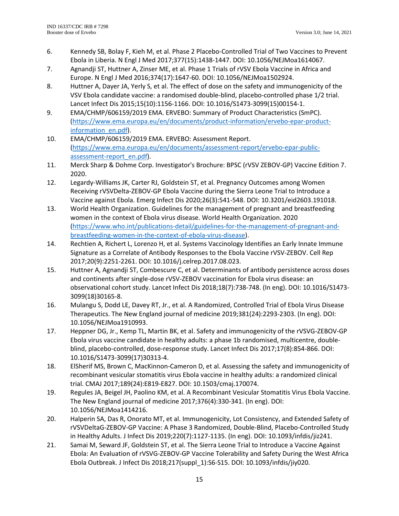- 6. Kennedy SB, Bolay F, Kieh M, et al. Phase 2 Placebo-Controlled Trial of Two Vaccines to Prevent Ebola in Liberia. N Engl J Med 2017;377(15):1438-1447. DOI: 10.1056/NEJMoa1614067.
- 7. Agnandji ST, Huttner A, Zinser ME, et al. Phase 1 Trials of rVSV Ebola Vaccine in Africa and Europe. N Engl J Med 2016;374(17):1647-60. DOI: 10.1056/NEJMoa1502924.
- 8. Huttner A, Dayer JA, Yerly S, et al. The effect of dose on the safety and immunogenicity of the VSV Ebola candidate vaccine: a randomised double-blind, placebo-controlled phase 1/2 trial. Lancet Infect Dis 2015;15(10):1156-1166. DOI: 10.1016/S1473-3099(15)00154-1.
- 9. EMA/CHMP/606159/2019 EMA. ERVEBO: Summary of Product Characteristics (SmPC). [\(https://www.ema.europa.eu/en/documents/product-information/ervebo-epar-product](https://www.ema.europa.eu/en/documents/product-information/ervebo-epar-product-information_en.pdf)[information\\_en.pdf\)](https://www.ema.europa.eu/en/documents/product-information/ervebo-epar-product-information_en.pdf).
- 10. EMA/CHMP/606159/2019 EMA. ERVEBO: Assessment Report. [\(https://www.ema.europa.eu/en/documents/assessment-report/ervebo-epar-public](https://www.ema.europa.eu/en/documents/assessment-report/ervebo-epar-public-assessment-report_en.pdf)[assessment-report\\_en.pdf\)](https://www.ema.europa.eu/en/documents/assessment-report/ervebo-epar-public-assessment-report_en.pdf).
- 11. Merck Sharp & Dohme Corp. Investigator's Brochure: BPSC (rVSV ZEBOV-GP) Vaccine Edition 7. 2020.
- 12. Legardy-Williams JK, Carter RJ, Goldstein ST, et al. Pregnancy Outcomes among Women Receiving rVSVDelta-ZEBOV-GP Ebola Vaccine during the Sierra Leone Trial to Introduce a Vaccine against Ebola. Emerg Infect Dis 2020;26(3):541-548. DOI: 10.3201/eid2603.191018.
- 13. World Health Organization. Guidelines for the management of pregnant and breastfeeding women in the context of Ebola virus disease. World Health Organization. 2020 [\(https://www.who.int/publications-detail/guidelines-for-the-management-of-pregnant-and](https://www.who.int/publications-detail/guidelines-for-the-management-of-pregnant-and-breastfeeding-women-in-the-context-of-ebola-virus-disease)[breastfeeding-women-in-the-context-of-ebola-virus-disease\)](https://www.who.int/publications-detail/guidelines-for-the-management-of-pregnant-and-breastfeeding-women-in-the-context-of-ebola-virus-disease).
- 14. Rechtien A, Richert L, Lorenzo H, et al. Systems Vaccinology Identifies an Early Innate Immune Signature as a Correlate of Antibody Responses to the Ebola Vaccine rVSV-ZEBOV. Cell Rep 2017;20(9):2251-2261. DOI: 10.1016/j.celrep.2017.08.023.
- 15. Huttner A, Agnandji ST, Combescure C, et al. Determinants of antibody persistence across doses and continents after single-dose rVSV-ZEBOV vaccination for Ebola virus disease: an observational cohort study. Lancet Infect Dis 2018;18(7):738-748. (In eng). DOI: 10.1016/S1473- 3099(18)30165-8.
- 16. Mulangu S, Dodd LE, Davey RT, Jr., et al. A Randomized, Controlled Trial of Ebola Virus Disease Therapeutics. The New England journal of medicine 2019;381(24):2293-2303. (In eng). DOI: 10.1056/NEJMoa1910993.
- 17. Heppner DG, Jr., Kemp TL, Martin BK, et al. Safety and immunogenicity of the rVSVG-ZEBOV-GP Ebola virus vaccine candidate in healthy adults: a phase 1b randomised, multicentre, doubleblind, placebo-controlled, dose-response study. Lancet Infect Dis 2017;17(8):854-866. DOI: 10.1016/S1473-3099(17)30313-4.
- 18. ElSherif MS, Brown C, MacKinnon-Cameron D, et al. Assessing the safety and immunogenicity of recombinant vesicular stomatitis virus Ebola vaccine in healthy adults: a randomized clinical trial. CMAJ 2017;189(24):E819-E827. DOI: 10.1503/cmaj.170074.
- 19. Regules JA, Beigel JH, Paolino KM, et al. A Recombinant Vesicular Stomatitis Virus Ebola Vaccine. The New England journal of medicine 2017;376(4):330-341. (In eng). DOI: 10.1056/NEJMoa1414216.
- 20. Halperin SA, Das R, Onorato MT, et al. Immunogenicity, Lot Consistency, and Extended Safety of rVSVDeltaG-ZEBOV-GP Vaccine: A Phase 3 Randomized, Double-Blind, Placebo-Controlled Study in Healthy Adults. J Infect Dis 2019;220(7):1127-1135. (In eng). DOI: 10.1093/infdis/jiz241.
- 21. Samai M, Seward JF, Goldstein ST, et al. The Sierra Leone Trial to Introduce a Vaccine Against Ebola: An Evaluation of rVSVG-ZEBOV-GP Vaccine Tolerability and Safety During the West Africa Ebola Outbreak. J Infect Dis 2018;217(suppl\_1):S6-S15. DOI: 10.1093/infdis/jiy020.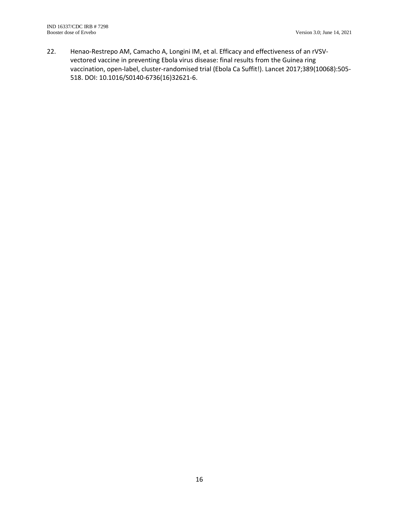22. Henao-Restrepo AM, Camacho A, Longini IM, et al. Efficacy and effectiveness of an rVSVvectored vaccine in preventing Ebola virus disease: final results from the Guinea ring vaccination, open-label, cluster-randomised trial (Ebola Ca Suffit!). Lancet 2017;389(10068):505- 518. DOI: 10.1016/S0140-6736(16)32621-6.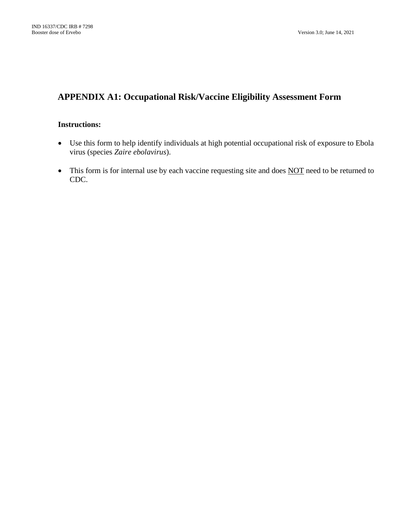# **APPENDIX A1: Occupational Risk/Vaccine Eligibility Assessment Form**

# **Instructions:**

- Use this form to help identify individuals at high potential occupational risk of exposure to Ebola virus (species *Zaire ebolavirus*).
- This form is for internal use by each vaccine requesting site and does NOT need to be returned to CDC.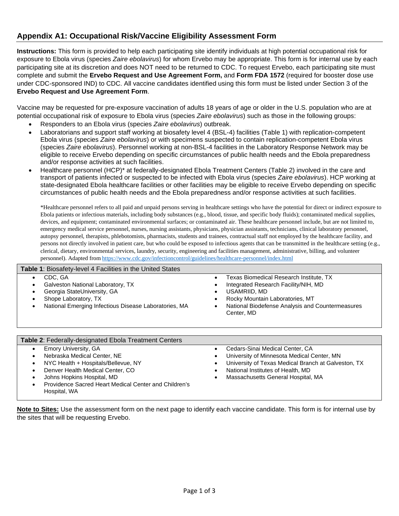# **Appendix A1: Occupational Risk/Vaccine Eligibility Assessment Form**

**Instructions:** This form is provided to help each participating site identify individuals at high potential occupational risk for exposure to Ebola virus (species *Zaire ebolavirus*) for whom Ervebo may be appropriate. This form is for internal use by each participating site at its discretion and does NOT need to be returned to CDC. To request Ervebo, each participating site must complete and submit the **Ervebo Request and Use Agreement Form,** and **Form FDA 1572** (required for booster dose use under CDC-sponsored IND) to CDC. All vaccine candidates identified using this form must be listed under Section 3 of the **Ervebo Request and Use Agreement Form**.

Vaccine may be requested for pre-exposure vaccination of adults 18 years of age or older in the U.S. population who are at potential occupational risk of exposure to Ebola virus (species *Zaire ebolavirus*) such as those in the following groups:

- Responders to an Ebola virus (species *Zaire ebolavirus*) outbreak.
- Laboratorians and support staff working at biosafety level 4 (BSL-4) facilities (Table 1) with replication-competent Ebola virus (species *Zaire ebolavirus*) or with specimens suspected to contain replication-competent Ebola virus (species *Zaire ebolavirus*). Personnel working at non-BSL-4 facilities in the Laboratory Response Network may be eligible to receive Ervebo depending on specific circumstances of public health needs and the Ebola preparedness and/or response activities at such facilities.
- Healthcare personnel (HCP)\* at federally-designated Ebola Treatment Centers (Table 2) involved in the care and transport of patients infected or suspected to be infected with Ebola virus (species *Zaire ebolavirus*). HCP working at state-designated Ebola healthcare facilities or other facilities may be eligible to receive Ervebo depending on specific circumstances of public health needs and the Ebola preparedness and/or response activities at such facilities.

\*Healthcare personnel refers to all paid and unpaid persons serving in healthcare settings who have the potential for direct or indirect exposure to Ebola patients or infectious materials, including body substances (e.g., blood, tissue, and specific body fluids); contaminated medical supplies, devices, and equipment; contaminated environmental surfaces; or contaminated air. These healthcare personnel include, but are not limited to, emergency medical service personnel, nurses, nursing assistants, physicians, physician assistants, technicians, clinical laboratory personnel, autopsy personnel, therapists, phlebotomists, pharmacists, students and trainees, contractual staff not employed by the healthcare facility, and persons not directly involved in patient care, but who could be exposed to infectious agents that can be transmitted in the healthcare setting (e.g., clerical, dietary, environmental services, laundry, security, engineering and facilities management, administrative, billing, and volunteer personnel). Adapted from <https://www.cdc.gov/infectioncontrol/guidelines/healthcare-personnel/index.html>

| <b>Table 1: Biosafety-level 4 Facilities in the United States</b>                                                                                                                                                                                                         |                                                                                                                                                                                                                 |
|---------------------------------------------------------------------------------------------------------------------------------------------------------------------------------------------------------------------------------------------------------------------------|-----------------------------------------------------------------------------------------------------------------------------------------------------------------------------------------------------------------|
| CDC, GA<br>$\bullet$<br>Galveston National Laboratory, TX<br>Georgia StateUniversity, GA<br>Shope Laboratory, TX<br>National Emerging Infectious Disease Laboratories, MA<br>$\bullet$                                                                                    | Texas Biomedical Research Institute, TX<br>Integrated Research Facility/NIH, MD<br>USAMRIID, MD<br>Rocky Mountain Laboratories, MT<br>National Biodefense Analysis and Countermeasures<br>Center, MD            |
| Table 2: Federally-designated Ebola Treatment Centers                                                                                                                                                                                                                     |                                                                                                                                                                                                                 |
| Emory University, GA<br>$\bullet$<br>Nebraska Medical Center, NE<br>$\bullet$<br>NYC Health + Hospitals/Bellevue, NY<br>$\bullet$<br>Denver Health Medical Center, CO<br>$\bullet$<br>Johns Hopkins Hospital, MD<br>Providence Sacred Heart Medical Center and Children's | Cedars-Sinai Medical Center, CA<br>University of Minnesota Medical Center, MN<br>University of Texas Medical Branch at Galveston, TX<br>National Institutes of Health, MD<br>Massachusetts General Hospital, MA |

Hospital, WA

**Note to Sites:** Use the assessment form on the next page to identify each vaccine candidate. This form is for internal use by the sites that will be requesting Ervebo.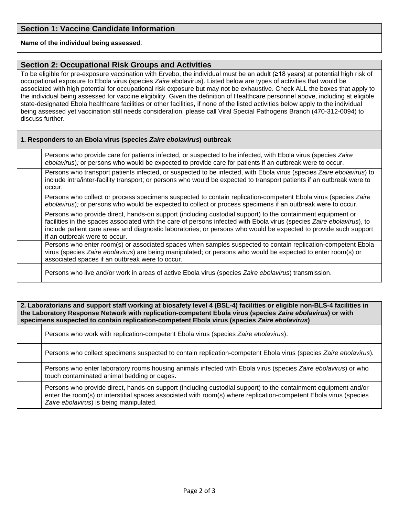#### **Name of the individual being assessed**:

# **Section 2: Occupational Risk Groups and Activities**

To be eligible for pre-exposure vaccination with Ervebo, the individual must be an adult (≥18 years) at potential high risk of occupational exposure to Ebola virus (species *Zaire* ebolavirus). Listed below are types of activities that would be associated with high potential for occupational risk exposure but may not be exhaustive. Check ALL the boxes that apply to the individual being assessed for vaccine eligibility. Given the definition of Healthcare personnel above, including at eligible state-designated Ebola healthcare facilities or other facilities, if none of the listed activities below apply to the individual being assessed yet vaccination still needs consideration, please call Viral Special Pathogens Branch (470-312-0094) to discuss further.

#### **1. Responders to an Ebola virus (species** *Zaire ebolavirus***) outbreak**

| Persons who provide care for patients infected, or suspected to be infected, with Ebola virus (species Zaire<br>ebolavirus); or persons who would be expected to provide care for patients if an outbreak were to occur.                                                                                                                                                                 |
|------------------------------------------------------------------------------------------------------------------------------------------------------------------------------------------------------------------------------------------------------------------------------------------------------------------------------------------------------------------------------------------|
| Persons who transport patients infected, or suspected to be infected, with Ebola virus (species Zaire ebolavirus) to<br>include intra/inter-facility transport; or persons who would be expected to transport patients if an outbreak were to<br>occur.                                                                                                                                  |
| Persons who collect or process specimens suspected to contain replication-competent Ebola virus (species Zaire<br>ebolavirus); or persons who would be expected to collect or process specimens if an outbreak were to occur.                                                                                                                                                            |
| Persons who provide direct, hands-on support (including custodial support) to the containment equipment or<br>facilities in the spaces associated with the care of persons infected with Ebola virus (species Zaire ebolavirus), to<br>include patient care areas and diagnostic laboratories; or persons who would be expected to provide such support<br>if an outbreak were to occur. |
| Persons who enter room(s) or associated spaces when samples suspected to contain replication-competent Ebola<br>virus (species Zaire ebolavirus) are being manipulated; or persons who would be expected to enter room(s) or<br>associated spaces if an outbreak were to occur.                                                                                                          |
| Persons who live and/or work in areas of active Ebola virus (species Zaire ebolavirus) transmission.                                                                                                                                                                                                                                                                                     |

#### **2. Laboratorians and support staff working at biosafety level 4 (BSL-4) facilities or eligible non-BLS-4 facilities in the Laboratory Response Network with replication-competent Ebola virus (species** *Zaire ebolavirus***) or with specimens suspected to contain replication-competent Ebola virus (species** *Zaire ebolavirus***)**

Persons who work with replication-competent Ebola virus (species *Zaire ebolavirus*).

Persons who collect specimens suspected to contain replication-competent Ebola virus (species *Zaire ebolavirus*)*.*

Persons who enter laboratory rooms housing animals infected with Ebola virus (species *Zaire ebolavirus*) or who touch contaminated animal bedding or cages.

Persons who provide direct, hands-on support (including custodial support) to the containment equipment and/or enter the room(s) or interstitial spaces associated with room(s) where replication-competent Ebola virus (species *Zaire ebolavirus*) is being manipulated.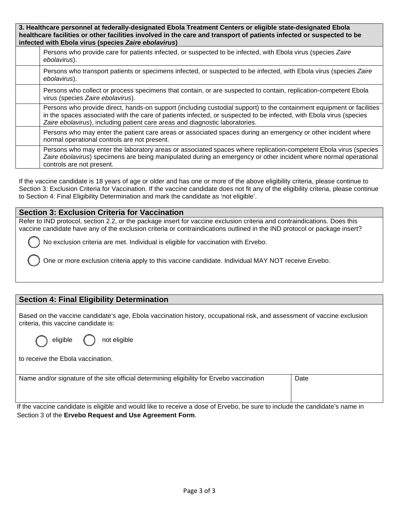| 3. Healthcare personnel at federally-designated Ebola Treatment Centers or eligible state-designated Ebola<br>healthcare facilities or other facilities involved in the care and transport of patients infected or suspected to be<br>infected with Ebola virus (species Zaire ebolavirus) |                                                                                                                                                                                                                                                                                                                              |  |  |  |  |  |
|--------------------------------------------------------------------------------------------------------------------------------------------------------------------------------------------------------------------------------------------------------------------------------------------|------------------------------------------------------------------------------------------------------------------------------------------------------------------------------------------------------------------------------------------------------------------------------------------------------------------------------|--|--|--|--|--|
|                                                                                                                                                                                                                                                                                            | Persons who provide care for patients infected, or suspected to be infected, with Ebola virus (species Zaire<br>ebolavirus).                                                                                                                                                                                                 |  |  |  |  |  |
|                                                                                                                                                                                                                                                                                            | Persons who transport patients or specimens infected, or suspected to be infected, with Ebola virus (species Zaire<br>ebolavirus).                                                                                                                                                                                           |  |  |  |  |  |
|                                                                                                                                                                                                                                                                                            | Persons who collect or process specimens that contain, or are suspected to contain, replication-competent Ebola<br>virus (species Zaire ebolavirus).                                                                                                                                                                         |  |  |  |  |  |
|                                                                                                                                                                                                                                                                                            | Persons who provide direct, hands-on support (including custodial support) to the containment equipment or facilities<br>in the spaces associated with the care of patients infected, or suspected to be infected, with Ebola virus (species<br>Zaire ebolavirus), including patient care areas and diagnostic laboratories. |  |  |  |  |  |
|                                                                                                                                                                                                                                                                                            | Persons who may enter the patient care areas or associated spaces during an emergency or other incident where<br>normal operational controls are not present.                                                                                                                                                                |  |  |  |  |  |
|                                                                                                                                                                                                                                                                                            | Persons who may enter the laboratory areas or associated spaces where replication-competent Ebola virus (species<br>Zaire ebolavirus) specimens are being manipulated during an emergency or other incident where normal operational<br>controls are not present.                                                            |  |  |  |  |  |

If the vaccine candidate is 18 years of age or older and has one or more of the above eligibility criteria, please continue to Section 3: Exclusion Criteria for Vaccination. If the vaccine candidate does not fit any of the eligibility criteria, please continue to Section 4: Final Eligibility Determination and mark the candidate as 'not eligible'.

# **Section 3: Exclusion Criteria for Vaccination**

Refer to IND protocol, section 2.2, or the package insert for vaccine exclusion criteria and contraindications. Does this vaccine candidate have any of the exclusion criteria or contraindications outlined in the IND protocol or package insert?

No exclusion criteria are met. Individual is eligible for vaccination with Ervebo.

One or more exclusion criteria apply to this vaccine candidate. Individual MAY NOT receive Ervebo.

# **Section 4: Final Eligibility Determination**

Based on the vaccine candidate's age, Ebola vaccination history, occupational risk, and assessment of vaccine exclusion criteria, this vaccine candidate is:

| not |
|-----|
|     |

to receive the Ebola vaccination.

Name and/or signature of the site official determining eligibility for Ervebo vaccination **Date** Date

eligible

If the vaccine candidate is eligible and would like to receive a dose of Ervebo, be sure to include the candidate's name in Section 3 of the **Ervebo Request and Use Agreement Form**.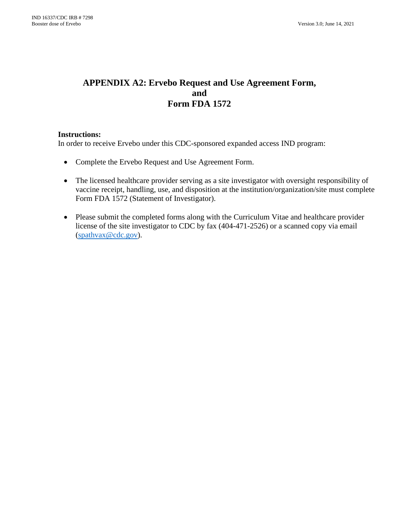# **APPENDIX A2: Ervebo Request and Use Agreement Form, and Form FDA 1572**

# **Instructions:**

In order to receive Ervebo under this CDC-sponsored expanded access IND program:

- Complete the Ervebo Request and Use Agreement Form.
- The licensed healthcare provider serving as a site investigator with oversight responsibility of vaccine receipt, handling, use, and disposition at the institution/organization/site must complete Form FDA 1572 (Statement of Investigator).
- Please submit the completed forms along with the Curriculum Vitae and healthcare provider license of the site investigator to CDC by fax (404-471-2526) or a scanned copy via email [\(spathvax@cdc.gov\)](mailto:spathvax@cdc.gov).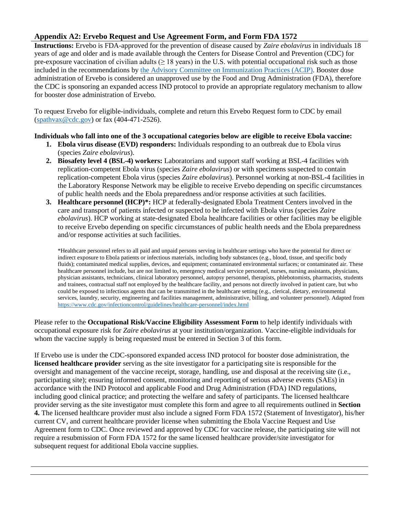# **Appendix A2: Ervebo Request and Use Agreement Form, and Form FDA 1572**

**Instructions:** Ervebo is FDA-approved for the prevention of disease caused by *Zaire ebolavirus* in individuals 18 years of age and older and is made available through the Centers for Disease Control and Prevention (CDC) for pre-exposure vaccination of civilian adults ( $\geq 18$  years) in the U.S. with potential occupational risk such as those included in the recommendations by [the Advisory Committee on Immunization Practices \(ACIP\).](https://www.cdc.gov/mmwr/volumes/70/rr/rr7001a1.htm) Booster dose administration of Ervebo is considered an unapproved use by the Food and Drug Administration (FDA), therefore the CDC is sponsoring an expanded access IND protocol to provide an appropriate regulatory mechanism to allow for booster dose administration of Ervebo.

To request Ervebo for eligible-individuals, complete and return this Ervebo Request form to CDC by email [\(spathvax@cdc.gov\)](mailto:spathvax@cdc.gov) or fax (404-471-2526).

# **Individuals who fall into one of the 3 occupational categories below are eligible to receive Ebola vaccine:**

- **1. Ebola virus disease (EVD) responders:** Individuals responding to an outbreak due to Ebola virus (species *Zaire ebolavirus*).
- **2. Biosafety level 4 (BSL-4) workers:** Laboratorians and support staff working at BSL-4 facilities with replication-competent Ebola virus (species *Zaire ebolavirus*) or with specimens suspected to contain replication-competent Ebola virus (species *Zaire ebolavirus*). Personnel working at non-BSL-4 facilities in the Laboratory Response Network may be eligible to receive Ervebo depending on specific circumstances of public health needs and the Ebola preparedness and/or response activities at such facilities.
- **3. Healthcare personnel (HCP)\*:** HCP at federally-designated Ebola Treatment Centers involved in the care and transport of patients infected or suspected to be infected with Ebola virus (species *Zaire ebolavirus*). HCP working at state-designated Ebola healthcare facilities or other facilities may be eligible to receive Ervebo depending on specific circumstances of public health needs and the Ebola preparedness and/or response activities at such facilities.

\*Healthcare personnel refers to all paid and unpaid persons serving in healthcare settings who have the potential for direct or indirect exposure to Ebola patients or infectious materials, including body substances (e.g., blood, tissue, and specific body fluids); contaminated medical supplies, devices, and equipment; contaminated environmental surfaces; or contaminated air. These healthcare personnel include, but are not limited to, emergency medical service personnel, nurses, nursing assistants, physicians, physician assistants, technicians, clinical laboratory personnel, autopsy personnel, therapists, phlebotomists, pharmacists, students and trainees, contractual staff not employed by the healthcare facility, and persons not directly involved in patient care, but who could be exposed to infectious agents that can be transmitted in the healthcare setting (e.g., clerical, dietary, environmental services, laundry, security, engineering and facilities management, administrative, billing, and volunteer personnel). Adapted from <https://www.cdc.gov/infectioncontrol/guidelines/healthcare-personnel/index.html>

Please refer to the **Occupational Risk/Vaccine Eligibility Assessment Form** to help identify individuals with occupational exposure risk for *Zaire ebolavirus* at your institution/organization. Vaccine-eligible individuals for whom the vaccine supply is being requested must be entered in Section 3 of this form.

If Ervebo use is under the CDC-sponsored expanded access IND protocol for booster dose administration, the **licensed healthcare provider** serving as the site investigator for a participating site is responsible for the oversight and management of the vaccine receipt, storage, handling, use and disposal at the receiving site (i.e., participating site); ensuring informed consent, monitoring and reporting of serious adverse events (SAEs) in accordance with the IND Protocol and applicable Food and Drug Administration (FDA) IND regulations, including good clinical practice; and protecting the welfare and safety of participants. The licensed healthcare provider serving as the site investigator must complete this form and agree to all requirements outlined in **Section 4.** The licensed healthcare provider must also include a signed Form FDA 1572 (Statement of Investigator), his/her current CV, and current healthcare provider license when submitting the Ebola Vaccine Request and Use Agreement form to CDC. Once reviewed and approved by CDC for vaccine release, the participating site will not require a resubmission of Form FDA 1572 for the same licensed healthcare provider/site investigator for subsequent request for additional Ebola vaccine supplies.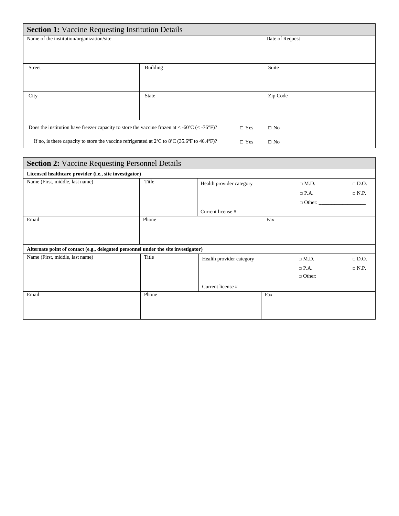| <b>Section 1:</b> Vaccine Requesting Institution Details                                                       |                 |          |  |  |  |  |
|----------------------------------------------------------------------------------------------------------------|-----------------|----------|--|--|--|--|
| Name of the institution/organization/site                                                                      | Date of Request |          |  |  |  |  |
|                                                                                                                |                 |          |  |  |  |  |
|                                                                                                                |                 |          |  |  |  |  |
| <b>Street</b>                                                                                                  | Building        | Suite    |  |  |  |  |
|                                                                                                                |                 |          |  |  |  |  |
|                                                                                                                |                 |          |  |  |  |  |
| City                                                                                                           | <b>State</b>    | Zip Code |  |  |  |  |
|                                                                                                                |                 |          |  |  |  |  |
|                                                                                                                |                 |          |  |  |  |  |
| Does the institution have freezer capacity to store the vaccine frozen at $\leq$ -60°C ( $\leq$ -76°F)?        | $\Box$ No       |          |  |  |  |  |
| If no, is there capacity to store the vaccine refrigerated at $2^{\circ}C$ to $8^{\circ}C$ (35.6°F to 46.4°F)? | $\Box$ No       |          |  |  |  |  |

| <b>Section 2: Vaccine Requesting Personnel Details</b>                             |       |                          |     |               |             |  |  |
|------------------------------------------------------------------------------------|-------|--------------------------|-----|---------------|-------------|--|--|
| Licensed healthcare provider (i.e., site investigator)                             |       |                          |     |               |             |  |  |
| Name (First, middle, last name)                                                    | Title | Health provider category |     | $\Box$ M.D.   | $\Box$ D.O. |  |  |
|                                                                                    |       |                          |     | $\Box$ P.A.   | $\Box$ N.P. |  |  |
|                                                                                    |       |                          |     | $\Box$ Other: |             |  |  |
|                                                                                    |       | Current license #        |     |               |             |  |  |
| Email                                                                              | Phone |                          | Fax |               |             |  |  |
|                                                                                    |       |                          |     |               |             |  |  |
|                                                                                    |       |                          |     |               |             |  |  |
| Alternate point of contact (e.g., delegated personnel under the site investigator) |       |                          |     |               |             |  |  |
| Name (First, middle, last name)                                                    | Title | Health provider category |     | $\Box$ M.D.   | $\Box$ D.O. |  |  |
|                                                                                    |       |                          |     | $\Box$ P.A.   | $\Box$ N.P. |  |  |
|                                                                                    |       |                          |     | $\Box$ Other: |             |  |  |
|                                                                                    |       | Current license #        |     |               |             |  |  |
| Email                                                                              | Phone |                          | Fax |               |             |  |  |
|                                                                                    |       |                          |     |               |             |  |  |
|                                                                                    |       |                          |     |               |             |  |  |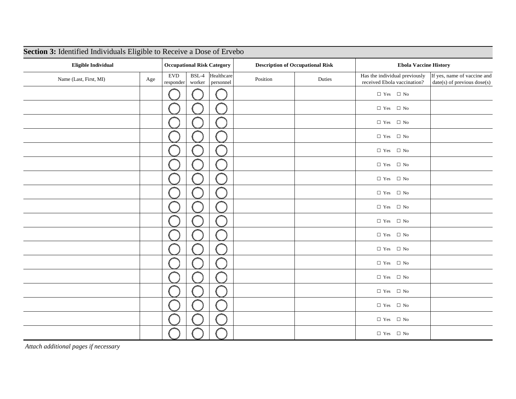| Section 3: Identified Individuals Eligible to Receive a Dose of Ervebo |     |                                   |                   |                                         |          |                              |                                                              |                                                            |
|------------------------------------------------------------------------|-----|-----------------------------------|-------------------|-----------------------------------------|----------|------------------------------|--------------------------------------------------------------|------------------------------------------------------------|
| <b>Eligible Individual</b>                                             |     | <b>Occupational Risk Category</b> |                   | <b>Description of Occupational Risk</b> |          | <b>Ebola Vaccine History</b> |                                                              |                                                            |
| Name (Last, First, MI)                                                 | Age | <b>EVD</b><br>responder           | $BSL-4$<br>worker | Healthcare<br>personnel                 | Position | Duties                       | Has the individual previously<br>received Ebola vaccination? | If yes, name of vaccine and<br>date(s) of previous dose(s) |
|                                                                        |     |                                   |                   |                                         |          |                              | $\hfill\Box$<br>Yes $\hfill\Box$<br>No                       |                                                            |
|                                                                        |     |                                   |                   |                                         |          |                              | $\hfill\Box$<br>Yes $\hfill\Box$<br>No                       |                                                            |
|                                                                        |     |                                   |                   |                                         |          |                              | $\hfill\Box$<br>Yes $\hfill\Box$<br>No                       |                                                            |
|                                                                        |     |                                   |                   |                                         |          |                              | $\hfill\Box$<br>Yes $\hfill\Box$<br>No                       |                                                            |
|                                                                        |     |                                   |                   |                                         |          |                              | $\hfill\Box$<br>Yes $\hfill\Box$<br>No                       |                                                            |
|                                                                        |     |                                   |                   |                                         |          |                              | $\hfill\Box$<br>Yes $\hfill\Box$<br>No                       |                                                            |
|                                                                        |     |                                   |                   |                                         |          |                              | $\Box$ Yes $\quad \Box$ No                                   |                                                            |
|                                                                        |     |                                   |                   |                                         |          |                              | $\Box$ Yes $\Box$ No                                         |                                                            |
|                                                                        |     |                                   |                   |                                         |          |                              | $\hfill\Box$<br>Yes $\hfill\Box$<br>No                       |                                                            |
|                                                                        |     |                                   |                   |                                         |          |                              | $\hfill\Box$<br>Yes $\hfill\Box$<br>No                       |                                                            |
|                                                                        |     |                                   |                   |                                         |          |                              | $\hfill\Box$<br>Yes $\hfill\Box$<br>No                       |                                                            |
|                                                                        |     |                                   |                   |                                         |          |                              | $\hfill\Box$<br>Yes $\hfill\Box$<br>No                       |                                                            |
|                                                                        |     |                                   |                   |                                         |          |                              | $\hfill\Box$<br>Yes $\hfill\Box$<br>No                       |                                                            |
|                                                                        |     |                                   |                   |                                         |          |                              | $\Box$ Yes $\quad \Box$ No                                   |                                                            |
|                                                                        |     |                                   |                   |                                         |          |                              | $\hfill\Box$<br>Yes $\hfill\Box$<br>No                       |                                                            |
|                                                                        |     |                                   |                   |                                         |          |                              | $\hfill\Box$<br>Yes $\hfill\Box$<br>No                       |                                                            |
|                                                                        |     |                                   |                   |                                         |          |                              | $\hfill\Box$<br>Yes $\hfill\Box$<br>No                       |                                                            |
|                                                                        |     |                                   |                   |                                         |          |                              | $\hfill\Box$<br>Yes $\hfill\Box$<br>No                       |                                                            |

*Attach additional pages if necessary*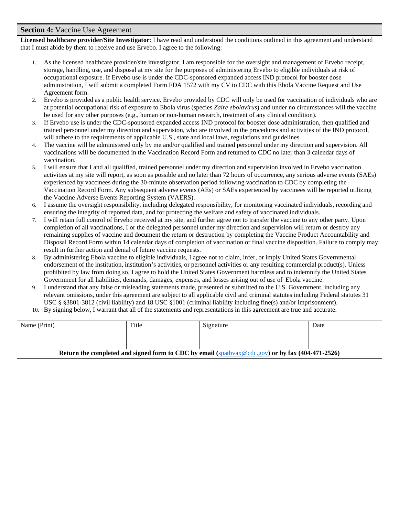#### **Section 4:** Vaccine Use Agreement

**Licensed healthcare provider/Site Investigator**: I have read and understood the conditions outlined in this agreement and understand that I must abide by them to receive and use Ervebo. I agree to the following:

- 1. As the licensed healthcare provider/site investigator, I am responsible for the oversight and management of Ervebo receipt, storage, handling, use, and disposal at my site for the purposes of administering Ervebo to eligible individuals at risk of occupational exposure. If Ervebo use is under the CDC-sponsored expanded access IND protocol for booster dose administration, I will submit a completed Form FDA 1572 with my CV to CDC with this Ebola Vaccine Request and Use Agreement form.
- 2. Ervebo is provided as a public health service. Ervebo provided by CDC will only be used for vaccination of individuals who are at potential occupational risk of exposure to Ebola virus (species *Zaire ebolavirus*) and under no circumstances will the vaccine be used for any other purposes (e.g., human or non-human research, treatment of any clinical condition).
- 3. If Ervebo use is under the CDC-sponsored expanded access IND protocol for booster dose administration, then qualified and trained personnel under my direction and supervision, who are involved in the procedures and activities of the IND protocol, will adhere to the requirements of applicable U.S., state and local laws, regulations and guidelines.
- 4. The vaccine will be administered only by me and/or qualified and trained personnel under my direction and supervision. All vaccinations will be documented in the Vaccination Record Form and returned to CDC no later than 3 calendar days of vaccination.
- 5. I will ensure that I and all qualified, trained personnel under my direction and supervision involved in Ervebo vaccination activities at my site will report, as soon as possible and no later than 72 hours of occurrence, any serious adverse events (SAEs) experienced by vaccinees during the 30-minute observation period following vaccination to CDC by completing the Vaccination Record Form. Any subsequent adverse events (AEs) or SAEs experienced by vaccinees will be reported utilizing the Vaccine Adverse Events Reporting System (VAERS).
- 6. I assume the oversight responsibility, including delegated responsibility, for monitoring vaccinated individuals, recording and ensuring the integrity of reported data, and for protecting the welfare and safety of vaccinated individuals.
- 7. I will retain full control of Ervebo received at my site, and further agree not to transfer the vaccine to any other party. Upon completion of all vaccinations, I or the delegated personnel under my direction and supervision will return or destroy any remaining supplies of vaccine and document the return or destruction by completing the Vaccine Product Accountability and Disposal Record Form within 14 calendar days of completion of vaccination or final vaccine disposition. Failure to comply may result in further action and denial of future vaccine requests.
- 8. By administering Ebola vaccine to eligible individuals, I agree not to claim, infer, or imply United States Governmental endorsement of the institution, institution's activities, or personnel activities or any resulting commercial product(s). Unless prohibited by law from doing so, I agree to hold the United States Government harmless and to indemnify the United States Government for all liabilities, demands, damages, expenses, and losses arising out of use of Ebola vaccine.
- 9. I understand that any false or misleading statements made, presented or submitted to the U.S. Government, including any relevant omissions, under this agreement are subject to all applicable civil and criminal statutes including Federal statutes 31 USC § §3801-3812 (civil liability) and 18 USC §1001 (criminal liability including fine(s) and/or imprisonment).
- 10. By signing below, I warrant that all of the statements and representations in this agreement are true and accurate.

| Name (Print)                                                                                      | Title | Signature | Date |  |  |  |
|---------------------------------------------------------------------------------------------------|-------|-----------|------|--|--|--|
|                                                                                                   |       |           |      |  |  |  |
|                                                                                                   |       |           |      |  |  |  |
| Return the completed and signed form to CDC by email (spathyax @cdc.gov) or by fax (404-471-2526) |       |           |      |  |  |  |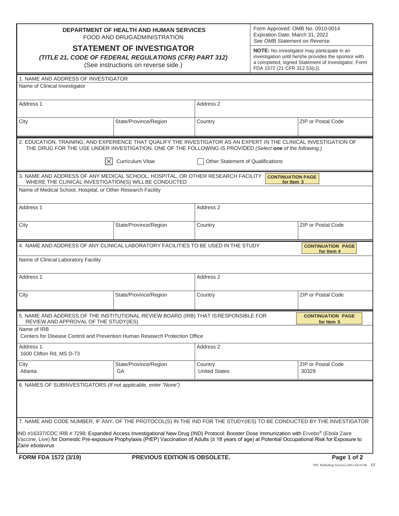| DEPARTMENT OF HEALTH AND HUMAN SERVICES |
|-----------------------------------------|
| FOOD AND DRUGADMINISTRATION             |

**STATEMENT OF INVESTIGATOR**

*(TITLE 21, CODE OF FEDERAL REGULATIONS (CFR) PART 312)*

(See instructions on reverse side.)

Form Approved: OMB No. 0910-0014 Expiration Date: March 31, 2022 *See OMB Statement on Reverse.*

**NOTE:** No investigator may participate in an investigation until he/she provides the sponsor with a completed, signed Statement of Investigator, Form FDA 1572 (21 CFR 312.53(c)).

| 1. NAME AND ADDRESS OF INVESTIGATOR                                                                                                     |                               |                                                                                                                                                                                                                                 |                                        |  |  |  |  |
|-----------------------------------------------------------------------------------------------------------------------------------------|-------------------------------|---------------------------------------------------------------------------------------------------------------------------------------------------------------------------------------------------------------------------------|----------------------------------------|--|--|--|--|
| Name of Clinical Investigator                                                                                                           |                               |                                                                                                                                                                                                                                 |                                        |  |  |  |  |
|                                                                                                                                         |                               |                                                                                                                                                                                                                                 |                                        |  |  |  |  |
| Address 1                                                                                                                               |                               | Address 2                                                                                                                                                                                                                       |                                        |  |  |  |  |
|                                                                                                                                         |                               |                                                                                                                                                                                                                                 |                                        |  |  |  |  |
| City                                                                                                                                    | State/Province/Region         | Country                                                                                                                                                                                                                         | <b>ZIP or Postal Code</b>              |  |  |  |  |
|                                                                                                                                         |                               |                                                                                                                                                                                                                                 |                                        |  |  |  |  |
|                                                                                                                                         |                               |                                                                                                                                                                                                                                 |                                        |  |  |  |  |
|                                                                                                                                         |                               | 2. EDUCATION, TRAINING, AND EXPERIENCE THAT QUALIFY THE INVESTIGATOR AS AN EXPERT IN THE CLINICAL INVESTIGATION OF<br>THE DRUG FOR THE USE UNDER INVESTIGATION. ONE OF THE FOLLOWING IS PROVIDED (Select one of the following.) |                                        |  |  |  |  |
| IХ                                                                                                                                      | Curriculum Vitae              | <b>Other Statement of Qualifications</b>                                                                                                                                                                                        |                                        |  |  |  |  |
| 3. NAME AND ADDRESS OF ANY MEDICAL SCHOOL, HOSPITAL, OR OTHER RESEARCH FACILITY<br>WHERE THE CLINICAL INVESTIGATION(S) WILLBE CONDUCTED |                               | <b>CONTINUATION PAGE</b><br>for Item 3                                                                                                                                                                                          |                                        |  |  |  |  |
| Name of Medical School, Hospital, or Other Research Facility                                                                            |                               |                                                                                                                                                                                                                                 |                                        |  |  |  |  |
|                                                                                                                                         |                               |                                                                                                                                                                                                                                 |                                        |  |  |  |  |
| Address 1                                                                                                                               |                               | Address 2                                                                                                                                                                                                                       |                                        |  |  |  |  |
|                                                                                                                                         |                               |                                                                                                                                                                                                                                 |                                        |  |  |  |  |
| City                                                                                                                                    | State/Province/Region         | Country                                                                                                                                                                                                                         | <b>ZIP or Postal Code</b>              |  |  |  |  |
|                                                                                                                                         |                               |                                                                                                                                                                                                                                 |                                        |  |  |  |  |
|                                                                                                                                         |                               |                                                                                                                                                                                                                                 |                                        |  |  |  |  |
| 4. NAME AND ADDRESS OF ANY CLINICAL LABORATORY FACILITIES TO BE USED IN THE STUDY                                                       |                               |                                                                                                                                                                                                                                 | <b>CONTINUATION PAGE</b><br>for Item 4 |  |  |  |  |
| Name of Clinical Laboratory Facility                                                                                                    |                               |                                                                                                                                                                                                                                 |                                        |  |  |  |  |
|                                                                                                                                         |                               |                                                                                                                                                                                                                                 |                                        |  |  |  |  |
| Address 1                                                                                                                               |                               | Address <sub>2</sub>                                                                                                                                                                                                            |                                        |  |  |  |  |
|                                                                                                                                         |                               |                                                                                                                                                                                                                                 |                                        |  |  |  |  |
| City                                                                                                                                    | State/Province/Region         | Country                                                                                                                                                                                                                         | <b>ZIP or Postal Code</b>              |  |  |  |  |
|                                                                                                                                         |                               |                                                                                                                                                                                                                                 |                                        |  |  |  |  |
|                                                                                                                                         |                               |                                                                                                                                                                                                                                 |                                        |  |  |  |  |
| 5. NAME AND ADDRESS OF THE INSTITUTIONAL REVIEW BOARD (IRB) THAT IS RESPONSIBLE FOR<br>REVIEW AND APPROVAL OF THE STUDY(IES)            |                               |                                                                                                                                                                                                                                 | <b>CONTINUATION PAGE</b><br>for Item 5 |  |  |  |  |
| Name of IRB                                                                                                                             |                               |                                                                                                                                                                                                                                 |                                        |  |  |  |  |
| Centers for Disease Control and Prevention Human Research Protection Office                                                             |                               |                                                                                                                                                                                                                                 |                                        |  |  |  |  |
| Address 1                                                                                                                               |                               | Address 2                                                                                                                                                                                                                       |                                        |  |  |  |  |
| 1600 Clifton Rd, MS D-73                                                                                                                |                               |                                                                                                                                                                                                                                 |                                        |  |  |  |  |
|                                                                                                                                         |                               |                                                                                                                                                                                                                                 | ZIP or Postal Code                     |  |  |  |  |
| City<br>Atlanta                                                                                                                         | State/Province/Region<br>GА   | Country<br><b>United States</b>                                                                                                                                                                                                 | 30329                                  |  |  |  |  |
|                                                                                                                                         |                               |                                                                                                                                                                                                                                 |                                        |  |  |  |  |
| 6. NAMES OF SUBINVESTIGATORS (If not applicable, enter "None")                                                                          |                               |                                                                                                                                                                                                                                 |                                        |  |  |  |  |
|                                                                                                                                         |                               |                                                                                                                                                                                                                                 |                                        |  |  |  |  |
|                                                                                                                                         |                               |                                                                                                                                                                                                                                 |                                        |  |  |  |  |
|                                                                                                                                         |                               |                                                                                                                                                                                                                                 |                                        |  |  |  |  |
| 7. NAME AND CODE NUMBER, IF ANY, OF THE PROTOCOL(S) IN THE IND FOR THE STUDY(IES) TO BE CONDUCTED BY THE INVESTIGATOR                   |                               |                                                                                                                                                                                                                                 |                                        |  |  |  |  |
|                                                                                                                                         |                               |                                                                                                                                                                                                                                 |                                        |  |  |  |  |
|                                                                                                                                         |                               | IND #16337/CDC IRB # 7298: Expanded Access Investigational New Drug (IND) Protocol: Booster Dose Immunization with Ervebo® (Ebola Zaire                                                                                         |                                        |  |  |  |  |
| Zaire ebolavirus                                                                                                                        |                               | Vaccine, Live) for Domestic Pre-exposure Prophylaxis (PrEP) Vaccination of Adults (≥ 18 years of age) at Potential Occupational Risk for Exposure to                                                                            |                                        |  |  |  |  |
|                                                                                                                                         |                               |                                                                                                                                                                                                                                 |                                        |  |  |  |  |
| FORM FDA 1572 (3/19)                                                                                                                    | PREVIOUS EDITION IS OBSOLETE. |                                                                                                                                                                                                                                 | Page 1 of 2                            |  |  |  |  |

PSC Publishing Services (301) 443-6740 EF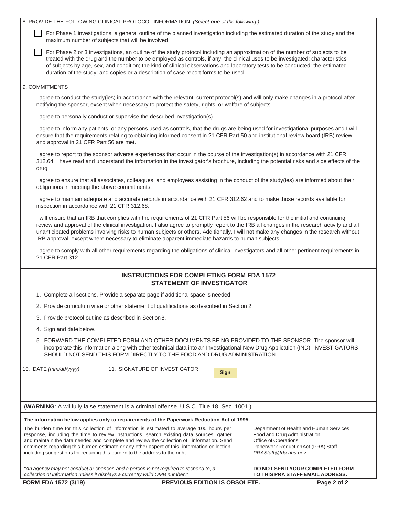| 8. PROVIDE THE FOLLOWING CLINICAL PROTOCOL INFORMATION. (Select one of the following.)                                                                                                                                                                                                                                                                                                                                                                                                                                       |                                                                                                                                                                                                                                                                                                                                                                                  |                                                                                                                                                                                                                                                                                                                                                                                                 |  |  |  |  |  |
|------------------------------------------------------------------------------------------------------------------------------------------------------------------------------------------------------------------------------------------------------------------------------------------------------------------------------------------------------------------------------------------------------------------------------------------------------------------------------------------------------------------------------|----------------------------------------------------------------------------------------------------------------------------------------------------------------------------------------------------------------------------------------------------------------------------------------------------------------------------------------------------------------------------------|-------------------------------------------------------------------------------------------------------------------------------------------------------------------------------------------------------------------------------------------------------------------------------------------------------------------------------------------------------------------------------------------------|--|--|--|--|--|
| maximum number of subjects that will be involved.                                                                                                                                                                                                                                                                                                                                                                                                                                                                            |                                                                                                                                                                                                                                                                                                                                                                                  | For Phase 1 investigations, a general outline of the planned investigation including the estimated duration of the study and the                                                                                                                                                                                                                                                                |  |  |  |  |  |
|                                                                                                                                                                                                                                                                                                                                                                                                                                                                                                                              | duration of the study; and copies or a description of case report forms to be used.                                                                                                                                                                                                                                                                                              | For Phase 2 or 3 investigations, an outline of the study protocol including an approximation of the number of subjects to be<br>treated with the drug and the number to be employed as controls, if any; the clinical uses to be investigated; characteristics<br>of subjects by age, sex, and condition; the kind of clinical observations and laboratory tests to be conducted; the estimated |  |  |  |  |  |
| 9. COMMITMENTS                                                                                                                                                                                                                                                                                                                                                                                                                                                                                                               |                                                                                                                                                                                                                                                                                                                                                                                  |                                                                                                                                                                                                                                                                                                                                                                                                 |  |  |  |  |  |
|                                                                                                                                                                                                                                                                                                                                                                                                                                                                                                                              | notifying the sponsor, except when necessary to protect the safety, rights, or welfare of subjects.                                                                                                                                                                                                                                                                              | I agree to conduct the study(ies) in accordance with the relevant, current protocol(s) and will only make changes in a protocol after                                                                                                                                                                                                                                                           |  |  |  |  |  |
|                                                                                                                                                                                                                                                                                                                                                                                                                                                                                                                              | I agree to personally conduct or supervise the described investigation(s).                                                                                                                                                                                                                                                                                                       |                                                                                                                                                                                                                                                                                                                                                                                                 |  |  |  |  |  |
| and approval in 21 CFR Part 56 are met.                                                                                                                                                                                                                                                                                                                                                                                                                                                                                      |                                                                                                                                                                                                                                                                                                                                                                                  | I agree to inform any patients, or any persons used as controls, that the drugs are being used for investigational purposes and I will<br>ensure that the requirements relating to obtaining informed consent in 21 CFR Part 50 and institutional review board (IRB) review                                                                                                                     |  |  |  |  |  |
| drug.                                                                                                                                                                                                                                                                                                                                                                                                                                                                                                                        |                                                                                                                                                                                                                                                                                                                                                                                  | I agree to report to the sponsor adverse experiences that occur in the course of the investigation(s) in accordance with 21 CFR<br>312.64. I have read and understand the information in the investigator's brochure, including the potential risks and side effects of the                                                                                                                     |  |  |  |  |  |
| obligations in meeting the above commitments.                                                                                                                                                                                                                                                                                                                                                                                                                                                                                |                                                                                                                                                                                                                                                                                                                                                                                  | I agree to ensure that all associates, colleagues, and employees assisting in the conduct of the study(ies) are informed about their                                                                                                                                                                                                                                                            |  |  |  |  |  |
| inspection in accordance with 21 CFR 312.68.                                                                                                                                                                                                                                                                                                                                                                                                                                                                                 |                                                                                                                                                                                                                                                                                                                                                                                  | I agree to maintain adequate and accurate records in accordance with 21 CFR 312.62 and to make those records available for                                                                                                                                                                                                                                                                      |  |  |  |  |  |
| I will ensure that an IRB that complies with the requirements of 21 CFR Part 56 will be responsible for the initial and continuing<br>review and approval of the clinical investigation. I also agree to promptly report to the IRB all changes in the research activity and all<br>unanticipated problems involving risks to human subjects or others. Additionally, I will not make any changes in the research without<br>IRB approval, except where necessary to eliminate apparent immediate hazards to human subjects. |                                                                                                                                                                                                                                                                                                                                                                                  |                                                                                                                                                                                                                                                                                                                                                                                                 |  |  |  |  |  |
| 21 CFR Part 312.                                                                                                                                                                                                                                                                                                                                                                                                                                                                                                             |                                                                                                                                                                                                                                                                                                                                                                                  | I agree to comply with all other requirements regarding the obligations of clinical investigators and all other pertinent requirements in                                                                                                                                                                                                                                                       |  |  |  |  |  |
|                                                                                                                                                                                                                                                                                                                                                                                                                                                                                                                              | <b>INSTRUCTIONS FOR COMPLETING FORM FDA 1572</b><br><b>STATEMENT OF INVESTIGATOR</b>                                                                                                                                                                                                                                                                                             |                                                                                                                                                                                                                                                                                                                                                                                                 |  |  |  |  |  |
|                                                                                                                                                                                                                                                                                                                                                                                                                                                                                                                              | 1. Complete all sections. Provide a separate page if additional space is needed.                                                                                                                                                                                                                                                                                                 |                                                                                                                                                                                                                                                                                                                                                                                                 |  |  |  |  |  |
|                                                                                                                                                                                                                                                                                                                                                                                                                                                                                                                              | 2. Provide curriculum vitae or other statement of qualifications as described in Section 2.                                                                                                                                                                                                                                                                                      |                                                                                                                                                                                                                                                                                                                                                                                                 |  |  |  |  |  |
| 3. Provide protocol outline as described in Section 8.                                                                                                                                                                                                                                                                                                                                                                                                                                                                       |                                                                                                                                                                                                                                                                                                                                                                                  |                                                                                                                                                                                                                                                                                                                                                                                                 |  |  |  |  |  |
| 4. Sign and date below.                                                                                                                                                                                                                                                                                                                                                                                                                                                                                                      |                                                                                                                                                                                                                                                                                                                                                                                  |                                                                                                                                                                                                                                                                                                                                                                                                 |  |  |  |  |  |
| 5. FORWARD THE COMPLETED FORM AND OTHER DOCUMENTS BEING PROVIDED TO THE SPONSOR. The sponsor will<br>incorporate this information along with other technical data into an Investigational New Drug Application (IND). INVESTIGATORS<br>SHOULD NOT SEND THIS FORM DIRECTLY TO THE FOOD AND DRUG ADMINISTRATION.                                                                                                                                                                                                               |                                                                                                                                                                                                                                                                                                                                                                                  |                                                                                                                                                                                                                                                                                                                                                                                                 |  |  |  |  |  |
| 10. DATE (mm/dd/yyyy)                                                                                                                                                                                                                                                                                                                                                                                                                                                                                                        | 11. SIGNATURE OF INVESTIGATOR                                                                                                                                                                                                                                                                                                                                                    | <b>Sign</b>                                                                                                                                                                                                                                                                                                                                                                                     |  |  |  |  |  |
|                                                                                                                                                                                                                                                                                                                                                                                                                                                                                                                              | (WARNING: A willfully false statement is a criminal offense. U.S.C. Title 18, Sec. 1001.)                                                                                                                                                                                                                                                                                        |                                                                                                                                                                                                                                                                                                                                                                                                 |  |  |  |  |  |
|                                                                                                                                                                                                                                                                                                                                                                                                                                                                                                                              | The information below applies only to requirements of the Paperwork Reduction Act of 1995.                                                                                                                                                                                                                                                                                       |                                                                                                                                                                                                                                                                                                                                                                                                 |  |  |  |  |  |
| including suggestions for reducing this burden to the address to the right:                                                                                                                                                                                                                                                                                                                                                                                                                                                  | The burden time for this collection of information is estimated to average 100 hours per<br>response, including the time to review instructions, search existing data sources, gather<br>and maintain the data needed and complete and review the collection of information. Send<br>comments regarding this burden estimate or any other aspect of this information collection, | Department of Health and Human Services<br>Food and Drug Administration<br>Office of Operations<br>Paperwork Reduction Act (PRA) Staff<br>PRAStaff@fda.hhs.gov                                                                                                                                                                                                                                  |  |  |  |  |  |
| collection of information unless it displays a currently valid OMB number."                                                                                                                                                                                                                                                                                                                                                                                                                                                  | "An agency may not conduct or sponsor, and a person is not required to respond to, a                                                                                                                                                                                                                                                                                             | DO NOT SEND YOUR COMPLETED FORM<br>TO THIS PRA STAFF EMAIL ADDRESS.                                                                                                                                                                                                                                                                                                                             |  |  |  |  |  |
| FORM FDA 1572 (3/19)                                                                                                                                                                                                                                                                                                                                                                                                                                                                                                         | PREVIOUS EDITION IS OBSOLETE.                                                                                                                                                                                                                                                                                                                                                    | Page 2 of 2                                                                                                                                                                                                                                                                                                                                                                                     |  |  |  |  |  |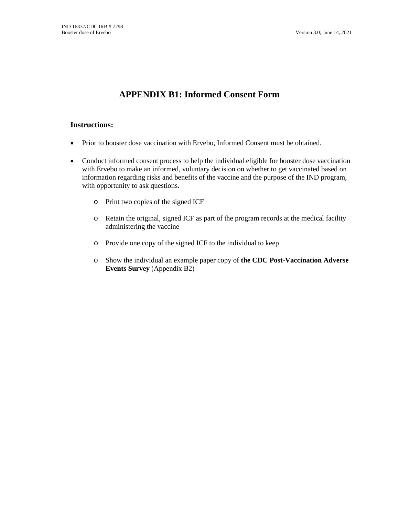# **APPENDIX B1: Informed Consent Form**

# **Instructions:**

- Prior to booster dose vaccination with Ervebo, Informed Consent must be obtained.
- Conduct informed consent process to help the individual eligible for booster dose vaccination with Ervebo to make an informed, voluntary decision on whether to get vaccinated based on information regarding risks and benefits of the vaccine and the purpose of the IND program, with opportunity to ask questions.
	- o Print two copies of the signed ICF
	- o Retain the original, signed ICF as part of the program records at the medical facility administering the vaccine
	- o Provide one copy of the signed ICF to the individual to keep
	- o Show the individual an example paper copy of **the CDC Post-Vaccination Adverse Events Survey** (Appendix B2)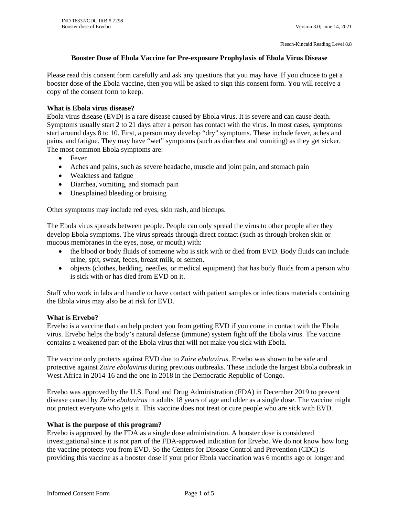#### **Booster Dose of Ebola Vaccine for Pre-exposure Prophylaxis of Ebola Virus Disease**

Please read this consent form carefully and ask any questions that you may have. If you choose to get a booster dose of the Ebola vaccine, then you will be asked to sign this consent form. You will receive a copy of the consent form to keep.

#### **What is Ebola virus disease?**

Ebola virus disease (EVD) is a rare disease caused by Ebola virus. It is severe and can cause death. Symptoms usually start 2 to 21 days after a person has contact with the virus. In most cases, symptoms start around days 8 to 10. First, a person may develop "dry" symptoms. These include fever, aches and pains, and fatigue. They may have "wet" symptoms (such as diarrhea and vomiting) as they get sicker. The most common Ebola symptoms are:

- Fever
- Aches and pains, such as severe headache, muscle and joint pain, and stomach pain
- Weakness and fatigue
- Diarrhea, vomiting, and stomach pain
- Unexplained bleeding or bruising

Other symptoms may include red eyes, skin rash, and hiccups.

The Ebola virus spreads between people. People can only spread the virus to other people after they develop Ebola symptoms. The virus spreads through direct contact (such as through broken skin or mucous membranes in the eyes, nose, or mouth) with:

- the blood or body fluids of someone who is sick with or died from EVD. Body fluids can include urine, spit, sweat, feces, breast milk, or semen.
- objects (clothes, bedding, needles, or medical equipment) that has body fluids from a person who is sick with or has died from EVD on it.

Staff who work in labs and handle or have contact with patient samples or infectious materials containing the Ebola virus may also be at risk for EVD.

#### **What is Ervebo?**

Ervebo is a vaccine that can help protect you from getting EVD if you come in contact with the Ebola virus. Ervebo helps the body's natural defense (immune) system fight off the Ebola virus. The vaccine contains a weakened part of the Ebola virus that will not make you sick with Ebola.

The vaccine only protects against EVD due to *Zaire ebolavirus*. Ervebo was shown to be safe and protective against *Zaire ebolavirus* during previous outbreaks. These include the largest Ebola outbreak in West Africa in 2014-16 and the one in 2018 in the Democratic Republic of Congo*.* 

Ervebo was approved by the U.S. Food and Drug Administration (FDA) in December 2019 to prevent disease caused by *Zaire ebolavirus* in adults 18 years of age and older as a single dose. The vaccine might not protect everyone who gets it. This vaccine does not treat or cure people who are sick with EVD.

#### **What is the purpose of this program?**

Ervebo is approved by the FDA as a single dose administration. A booster dose is considered investigational since it is not part of the FDA-approved indication for Ervebo. We do not know how long the vaccine protects you from EVD. So the Centers for Disease Control and Prevention (CDC) is providing this vaccine as a booster dose if your prior Ebola vaccination was 6 months ago or longer and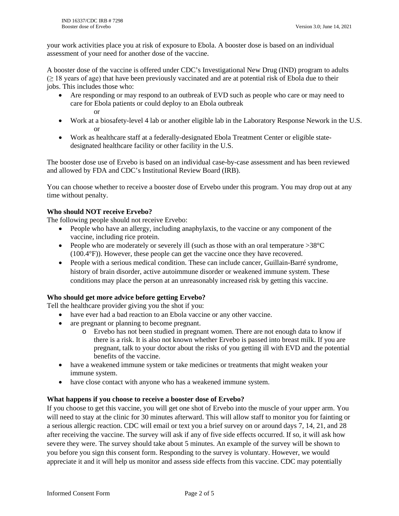your work activities place you at risk of exposure to Ebola. A booster dose is based on an individual assessment of your need for another dose of the vaccine.

A booster dose of the vaccine is offered under CDC's Investigational New Drug (IND) program to adults  $(\geq 18$  years of age) that have been previously vaccinated and are at potential risk of Ebola due to their jobs. This includes those who:

- Are responding or may respond to an outbreak of EVD such as people who care or may need to care for Ebola patients or could deploy to an Ebola outbreak or
- Work at a biosafety-level 4 lab or another eligible lab in the Laboratory Response Nework in the U.S. or
- Work as healthcare staff at a federally-designated Ebola Treatment Center or eligible statedesignated healthcare facility or other facility in the U.S.

The booster dose use of Ervebo is based on an individual case-by-case assessment and has been reviewed and allowed by FDA and CDC's Institutional Review Board (IRB).

You can choose whether to receive a booster dose of Ervebo under this program. You may drop out at any time without penalty.

#### **Who should NOT receive Ervebo?**

The following people should not receive Ervebo:

- People who have an allergy, including anaphylaxis, to the vaccine or any component of the vaccine, including rice protein.
- People who are moderately or severely ill (such as those with an oral temperature  $>38^{\circ}$ C (100.4°F)). However, these people can get the vaccine once they have recovered.
- People with a serious medical condition. These can include cancer, Guillain-Barré syndrome, history of brain disorder, active autoimmune disorder or weakened immune system. These conditions may place the person at an unreasonably increased risk by getting this vaccine.

## **Who should get more advice before getting Ervebo?**

Tell the healthcare provider giving you the shot if you:

- have ever had a bad reaction to an Ebola vaccine or any other vaccine.
- are pregnant or planning to become pregnant.
	- o Ervebo has not been studied in pregnant women. There are not enough data to know if there is a risk. It is also not known whether Ervebo is passed into breast milk. If you are pregnant, talk to your doctor about the risks of you getting ill with EVD and the potential benefits of the vaccine.
- have a weakened immune system or take medicines or treatments that might weaken your immune system.
- have close contact with anyone who has a weakened immune system.

#### **What happens if you choose to receive a booster dose of Ervebo?**

If you choose to get this vaccine, you will get one shot of Ervebo into the muscle of your upper arm. You will need to stay at the clinic for 30 minutes afterward. This will allow staff to monitor you for fainting or a serious allergic reaction. CDC will email or text you a brief survey on or around days 7, 14, 21, and 28 after receiving the vaccine. The survey will ask if any of five side effects occurred. If so, it will ask how severe they were. The survey should take about 5 minutes. An example of the survey will be shown to you before you sign this consent form. Responding to the survey is voluntary. However, we would appreciate it and it will help us monitor and assess side effects from this vaccine. CDC may potentially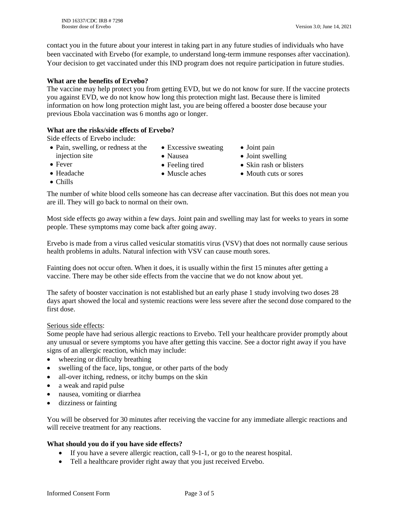contact you in the future about your interest in taking part in any future studies of individuals who have been vaccinated with Ervebo (for example, to understand long-term immune responses after vaccination). Your decision to get vaccinated under this IND program does not require participation in future studies.

#### **What are the benefits of Ervebo?**

The vaccine may help protect you from getting EVD, but we do not know for sure. If the vaccine protects you against EVD, we do not know how long this protection might last. Because there is limited information on how long protection might last, you are being offered a booster dose because your previous Ebola vaccination was 6 months ago or longer.

## **What are the risks/side effects of Ervebo?**

Side effects of Ervebo include:

- Pain, swelling, or redness at the injection site • Excessive sweating
	- Nausea • Feeling tired
- Joint pain
- Joint swelling

• Fever

- Muscle aches
- Skin rash or blisters • Mouth cuts or sores

• Headache • Chills

The number of white blood cells someone has can decrease after vaccination. But this does not mean you are ill. They will go back to normal on their own.

Most side effects go away within a few days. Joint pain and swelling may last for weeks to years in some people. These symptoms may come back after going away.

Ervebo is made from a virus called vesicular stomatitis virus (VSV) that does not normally cause serious health problems in adults. Natural infection with VSV can cause mouth sores.

Fainting does not occur often. When it does, it is usually within the first 15 minutes after getting a vaccine. There may be other side effects from the vaccine that we do not know about yet.

The safety of booster vaccination is not established but an early phase 1 study involving two doses 28 days apart showed the local and systemic reactions were less severe after the second dose compared to the first dose.

#### Serious side effects:

Some people have had serious allergic reactions to Ervebo. Tell your healthcare provider promptly about any unusual or severe symptoms you have after getting this vaccine. See a doctor right away if you have signs of an allergic reaction, which may include:

- wheezing or difficulty breathing
- swelling of the face, lips, tongue, or other parts of the body
- all-over itching, redness, or itchy bumps on the skin
- a weak and rapid pulse
- nausea, vomiting or diarrhea
- dizziness or fainting

You will be observed for 30 minutes after receiving the vaccine for any immediate allergic reactions and will receive treatment for any reactions.

#### **What should you do if you have side effects?**

- If you have a severe allergic reaction, call 9-1-1, or go to the nearest hospital.
- Tell a healthcare provider right away that you just received Ervebo.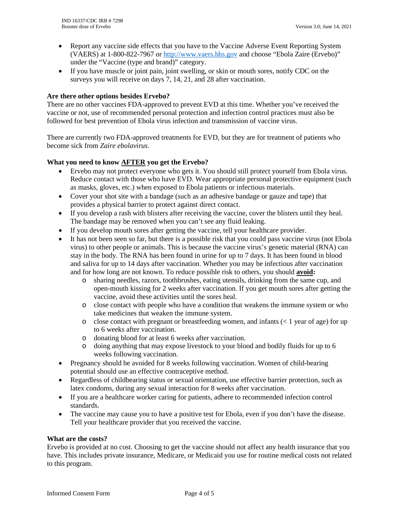- Report any vaccine side effects that you have to the Vaccine Adverse Event Reporting System (VAERS) at 1-800-822-7967 or [http://www.vaers.hhs.gov](http://www.vaers.hhs.gov/) and choose "Ebola Zaire (Ervebo)" under the "Vaccine (type and brand)" category.
- If you have muscle or joint pain, joint swelling, or skin or mouth sores, notify CDC on the surveys you will receive on days 7, 14, 21, and 28 after vaccination.

#### **Are there other options besides Ervebo?**

There are no other vaccines FDA-approved to prevent EVD at this time. Whether you've received the vaccine or not, use of recommended personal protection and infection control practices must also be followed for best prevention of Ebola virus infection and transmission of vaccine virus.

There are currently two FDA-approved treatments for EVD, but they are for treatment of patients who become sick from *Zaire ebolavirus*.

#### **What you need to know AFTER you get the Ervebo?**

- Ervebo may not protect everyone who gets it. You should still protect yourself from Ebola virus. Reduce contact with those who have EVD. Wear appropriate personal protective equipment (such as masks, gloves, etc.) when exposed to Ebola patients or infectious materials.
- Cover your shot site with a bandage (such as an adhesive bandage or gauze and tape) that provides a physical barrier to protect against direct contact.
- If you develop a rash with blisters after receiving the vaccine, cover the blisters until they heal. The bandage may be removed when you can't see any fluid leaking.
- If you develop mouth sores after getting the vaccine, tell your healthcare provider.
- It has not been seen so far, but there is a possible risk that you could pass vaccine virus (not Ebola virus) to other people or animals. This is because the vaccine virus's genetic material (RNA) can stay in the body. The RNA has been found in urine for up to 7 days. It has been found in blood and saliva for up to 14 days after vaccination. Whether you may be infectious after vaccination and for how long are not known. To reduce possible risk to others, you should **avoid:**
	- o sharing needles, razors, toothbrushes, eating utensils, drinking from the same cup, and open-mouth kissing for 2 weeks after vaccination. If you get mouth sores after getting the vaccine, avoid these activities until the sores heal.
	- o close contact with people who have a condition that weakens the immune system or who take medicines that weaken the immune system.
	- $\circ$  close contact with pregnant or breastfeeding women, and infants ( $\lt 1$  year of age) for up to 6 weeks after vaccination.
	- o donating blood for at least 6 weeks after vaccination.
	- o doing anything that may expose livestock to your blood and bodily fluids for up to 6 weeks following vaccination.
- Pregnancy should be avoided for 8 weeks following vaccination. Women of child-bearing potential should use an effective contraceptive method.
- Regardless of childbearing status or sexual orientation, use effective barrier protection, such as latex condoms, during any sexual interaction for 8 weeks after vaccination.
- If you are a healthcare worker caring for patients, adhere to recommended infection control standards.
- The vaccine may cause you to have a positive test for Ebola, even if you don't have the disease. Tell your healthcare provider that you received the vaccine.

#### **What are the costs?**

Ervebo is provided at no cost. Choosing to get the vaccine should not affect any health insurance that you have. This includes private insurance, Medicare, or Medicaid you use for routine medical costs not related to this program.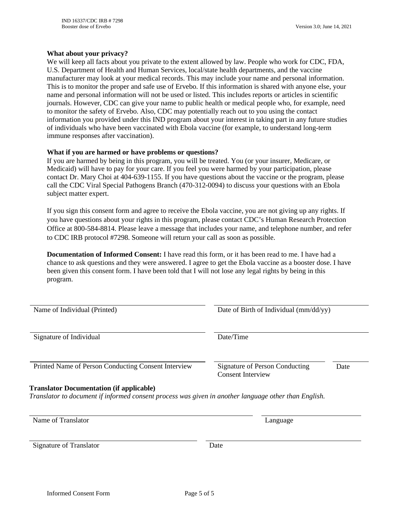#### **What about your privacy?**

We will keep all facts about you private to the extent allowed by law. People who work for CDC, FDA, U.S. Department of Health and Human Services, local/state health departments, and the vaccine manufacturer may look at your medical records. This may include your name and personal information. This is to monitor the proper and safe use of Ervebo. If this information is shared with anyone else, your name and personal information will not be used or listed. This includes reports or articles in scientific journals. However, CDC can give your name to public health or medical people who, for example, need to monitor the safety of Ervebo. Also, CDC may potentially reach out to you using the contact information you provided under this IND program about your interest in taking part in any future studies of individuals who have been vaccinated with Ebola vaccine (for example, to understand long-term immune responses after vaccination).

#### **What if you are harmed or have problems or questions?**

If you are harmed by being in this program, you will be treated. You (or your insurer, Medicare, or Medicaid) will have to pay for your care. If you feel you were harmed by your participation, please contact Dr. Mary Choi at 404-639-1155. If you have questions about the vaccine or the program, please call the CDC Viral Special Pathogens Branch (470-312-0094) to discuss your questions with an Ebola subject matter expert.

If you sign this consent form and agree to receive the Ebola vaccine, you are not giving up any rights. If you have questions about your rights in this program, please contact CDC's Human Research Protection Office at 800-584-8814. Please leave a message that includes your name, and telephone number, and refer to CDC IRB protocol #7298. Someone will return your call as soon as possible.

**Documentation of Informed Consent:** I have read this form, or it has been read to me. I have had a chance to ask questions and they were answered. I agree to get the Ebola vaccine as a booster dose. I have been given this consent form. I have been told that I will not lose any legal rights by being in this program.

| Name of Individual (Printed)                                                                                                                            | Date of Birth of Individual (mm/dd/yy)                     |      |  |  |
|---------------------------------------------------------------------------------------------------------------------------------------------------------|------------------------------------------------------------|------|--|--|
| Signature of Individual                                                                                                                                 | Date/Time                                                  |      |  |  |
| Printed Name of Person Conducting Consent Interview                                                                                                     | Signature of Person Conducting<br><b>Consent Interview</b> | Date |  |  |
| <b>Translator Documentation (if applicable)</b><br>Translator to document if informed consent process was given in another language other than English. |                                                            |      |  |  |
| Name of Translator                                                                                                                                      | Language                                                   |      |  |  |
| <b>Signature of Translator</b>                                                                                                                          | Date                                                       |      |  |  |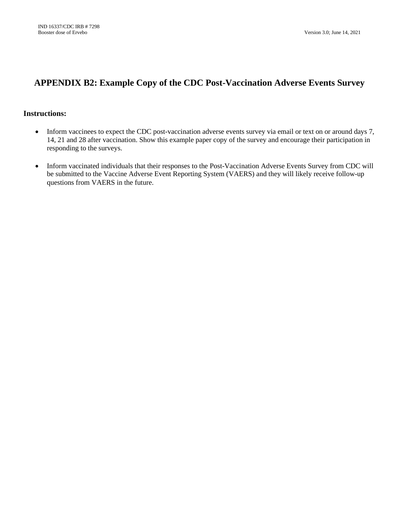# **APPENDIX B2: Example Copy of the CDC Post-Vaccination Adverse Events Survey**

# **Instructions:**

- Inform vaccinees to expect the CDC post-vaccination adverse events survey via email or text on or around days 7, 14, 21 and 28 after vaccination. Show this example paper copy of the survey and encourage their participation in responding to the surveys.
- Inform vaccinated individuals that their responses to the Post-Vaccination Adverse Events Survey from CDC will be submitted to the Vaccine Adverse Event Reporting System (VAERS) and they will likely receive follow-up questions from VAERS in the future.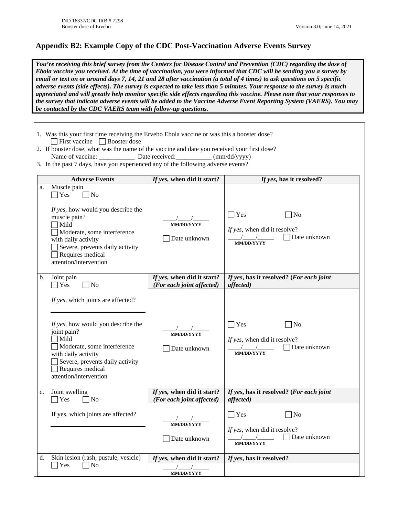# **Appendix B2: Example Copy of the CDC Post-Vaccination Adverse Events Survey**

*You're receiving this brief survey from the Centers for Disease Control and Prevention (CDC) regarding the dose of Ebola vaccine you received. At the time of vaccination, you were informed that CDC will be sending you a survey by email or text on or around days 7, 14, 21 and 28 after vaccination (a total of 4 times) to ask questions on 5 specific adverse events (side effects). The survey is expected to take less than 5 minutes. Your response to the survey is much appreciated and will greatly help monitor specific side effects regarding this vaccine. Please note that your responses to the survey that indicate adverse events will be added to the Vaccine Adverse Event Reporting System (VAERS). You may be contacted by the CDC VAERS team with follow-up questions.*

|                                                                                                                                                            | 1. Was this your first time receiving the Ervebo Ebola vaccine or was this a booster dose?<br>$\Box$ First vaccine $\Box$ Booster dose                                                                                                        |                                                         |                                                                                                 |  |  |  |  |  |  |
|------------------------------------------------------------------------------------------------------------------------------------------------------------|-----------------------------------------------------------------------------------------------------------------------------------------------------------------------------------------------------------------------------------------------|---------------------------------------------------------|-------------------------------------------------------------------------------------------------|--|--|--|--|--|--|
| 2. If booster dose, what was the name of the vaccine and date you received your first dose?                                                                |                                                                                                                                                                                                                                               |                                                         |                                                                                                 |  |  |  |  |  |  |
| Name of vaccine: ______________ Date received: __________ (mm/dd/yyyy)<br>3. In the past 7 days, have you experienced any of the following adverse events? |                                                                                                                                                                                                                                               |                                                         |                                                                                                 |  |  |  |  |  |  |
|                                                                                                                                                            | <b>Adverse Events</b>                                                                                                                                                                                                                         | If yes, when did it start?                              | If yes, has it resolved?                                                                        |  |  |  |  |  |  |
| a.                                                                                                                                                         | Muscle pain<br>$\Box$ No<br>Yes<br>If yes, how would you describe the<br>muscle pain?<br>$\n  1Mild\n$<br>Moderate, some interference<br>with daily activity<br>Severe, prevents daily activity<br>Requires medical<br>attention/intervention | <b>MM/DD/YYYY</b><br>Date unknown                       | Yes<br>$\overline{\rm No}$<br>If yes, when did it resolve?<br>Date unknown<br><b>MM/DD/YYYY</b> |  |  |  |  |  |  |
| b.                                                                                                                                                         | Joint pain<br>Yes<br>No                                                                                                                                                                                                                       | If yes, when did it start?<br>(For each joint affected) | If yes, has it resolved? (For each joint<br>affected)                                           |  |  |  |  |  |  |
|                                                                                                                                                            | If yes, which joints are affected?<br>If yes, how would you describe the<br>joint pain?<br>Mild<br>Moderate, some interference<br>with daily activity<br>Severe, prevents daily activity<br>Requires medical<br>attention/intervention        | <b>MM/DD/YYYY</b><br>Date unknown                       | Yes<br>]No<br>If yes, when did it resolve?<br>Date unknown<br><b>MM/DD/YYYY</b>                 |  |  |  |  |  |  |
| c.                                                                                                                                                         | Joint swelling<br>Yes<br> No                                                                                                                                                                                                                  | If yes, when did it start?<br>(For each joint affected) | If yes, has it resolved? (For each joint<br>affected)                                           |  |  |  |  |  |  |
|                                                                                                                                                            | If yes, which joints are affected?                                                                                                                                                                                                            | MM/DD/YYYY<br>Date unknown                              | Yes<br>No<br>If yes, when did it resolve?<br>Date unknown<br><b>MM/DD/YYYY</b>                  |  |  |  |  |  |  |
| d.                                                                                                                                                         | Skin lesion (rash, pustule, vesicle)<br>$\sqrt{ }$ No<br>$\Box$ Yes                                                                                                                                                                           | If yes, when did it start?<br>MM/DD/YYYY                | If yes, has it resolved?                                                                        |  |  |  |  |  |  |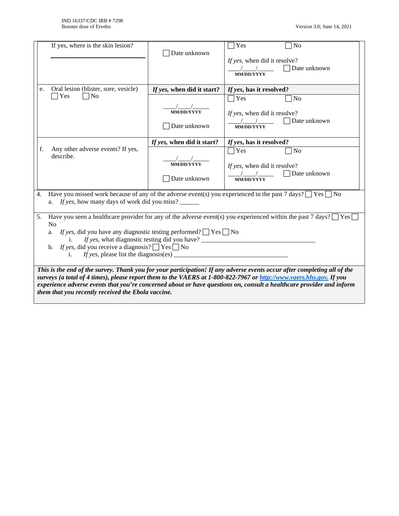|                                                                                                                                                                                                                                                                                                                                                                                                                                                                  | If yes, where is the skin lesion?                             | Date unknown                                                    | Yes<br>No<br>If yes, when did it resolve?<br>Date unknown<br><b>MM/DD/YYYY</b>                                                                                                                                                                           |  |  |  |
|------------------------------------------------------------------------------------------------------------------------------------------------------------------------------------------------------------------------------------------------------------------------------------------------------------------------------------------------------------------------------------------------------------------------------------------------------------------|---------------------------------------------------------------|-----------------------------------------------------------------|----------------------------------------------------------------------------------------------------------------------------------------------------------------------------------------------------------------------------------------------------------|--|--|--|
| e.                                                                                                                                                                                                                                                                                                                                                                                                                                                               | Oral lesion (blister, sore, vesicle)<br>Yes<br>N <sub>0</sub> | If yes, when did it start?<br><b>MM/DD/YYYY</b><br>Date unknown | If yes, has it resolved?<br>$\bigcap$ Yes<br>N <sub>o</sub><br>If yes, when did it resolve?<br>Date unknown<br><b>MM/DD/YYYY</b>                                                                                                                         |  |  |  |
| f.<br>4.                                                                                                                                                                                                                                                                                                                                                                                                                                                         | Any other adverse events? If yes,<br>describe.                | If yes, when did it start?<br><b>MM/DD/YYYY</b><br>Date unknown | If yes, has it resolved?<br>$\bigcap$ Yes<br>N <sub>o</sub><br>If yes, when did it resolve?<br>Date unknown<br><b>MM/DD/YYYY</b><br>Have you missed work because of any of the adverse event(s) you experienced in the past 7 days? $\Box$ Yes $\Box$ No |  |  |  |
| If yes, how many days of work did you miss?<br>a.<br>Have you seen a healthcare provider for any of the adverse event(s) you experienced within the past 7 days? $\Box$ Yes [<br>5.<br>$\overline{N}$<br><i>If yes</i> , did you have any diagnostic testing performed? $\Box$ Yes $\Box$ No<br>a.<br><i>If yes,</i> did you receive a diagnosis? $\Box$ Yes $\Box$ No<br>$\mathbf{b}$ .<br>If yes, please list the diagnosis(es) $\overline{\phantom{a}}$<br>i. |                                                               |                                                                 |                                                                                                                                                                                                                                                          |  |  |  |
| This is the end of the survey. Thank you for your participation! If any adverse events occur after completing all of the<br>surveys (a total of 4 times), please report them to the VAERS at 1-800-822-7967 or http://www.vaers.hhs.gov. If you<br>experience adverse events that you're concerned about or have questions on, consult a healthcare provider and inform<br>them that you recently received the Ebola vaccine.                                    |                                                               |                                                                 |                                                                                                                                                                                                                                                          |  |  |  |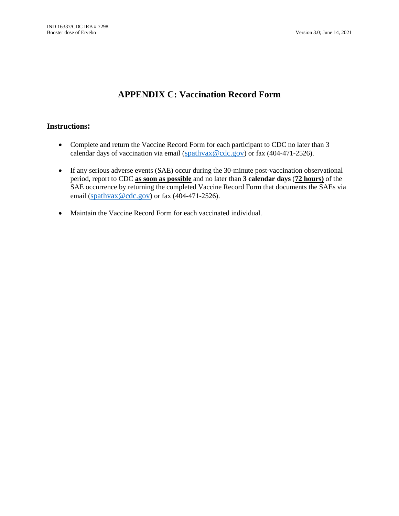# **APPENDIX C: Vaccination Record Form**

# **Instructions:**

- Complete and return the Vaccine Record Form for each participant to CDC no later than 3 calendar days of vaccination via email ( $\frac{\text{spath}}{\text{var}(CQ)}$  or fax (404-471-2526).
- If any serious adverse events (SAE) occur during the 30-minute post-vaccination observational period, report to CDC **as soon as possible** and no later than **3 calendar days** (**72 hours)** of the SAE occurrence by returning the completed Vaccine Record Form that documents the SAEs via email ( $\frac{\text{spath}}{\text{vax}}$ @cdc.gov) or fax (404-471-2526).
- Maintain the Vaccine Record Form for each vaccinated individual.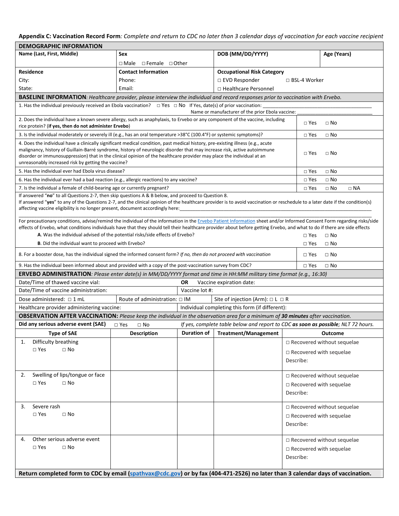# **Appendix C: Vaccination Record Form***: Complete and return to CDC no later than 3 calendar days of vaccination for each vaccine recipient*

| <b>DEMOGRAPHIC INFORMATION</b>                                                                                                                                                                                                                                                                                                                                                                                                              |                                                                                                                                 |                |                                                                                   |                                             |                                   |  |  |  |
|---------------------------------------------------------------------------------------------------------------------------------------------------------------------------------------------------------------------------------------------------------------------------------------------------------------------------------------------------------------------------------------------------------------------------------------------|---------------------------------------------------------------------------------------------------------------------------------|----------------|-----------------------------------------------------------------------------------|---------------------------------------------|-----------------------------------|--|--|--|
| Name (Last, First, Middle)                                                                                                                                                                                                                                                                                                                                                                                                                  | Sex                                                                                                                             |                | DOB (MM/DD/YYYY)                                                                  | Age (Years)                                 |                                   |  |  |  |
|                                                                                                                                                                                                                                                                                                                                                                                                                                             | $\Box$ Male $\Box$ Female $\Box$ Other                                                                                          |                |                                                                                   |                                             |                                   |  |  |  |
| <b>Residence</b>                                                                                                                                                                                                                                                                                                                                                                                                                            | <b>Contact Information</b>                                                                                                      |                | <b>Occupational Risk Category</b>                                                 |                                             |                                   |  |  |  |
| City:                                                                                                                                                                                                                                                                                                                                                                                                                                       | Phone:                                                                                                                          |                | □ EVD Responder                                                                   | □ BSL-4 Worker                              |                                   |  |  |  |
| State:                                                                                                                                                                                                                                                                                                                                                                                                                                      | Email:                                                                                                                          |                | □ Healthcare Personnel                                                            |                                             |                                   |  |  |  |
| BASELINE INFORMATION: Healthcare provider, please interview the individual and record responses prior to vaccination with Ervebo.                                                                                                                                                                                                                                                                                                           |                                                                                                                                 |                |                                                                                   |                                             |                                   |  |  |  |
| 1. Has the individual previously received an Ebola vaccination? $\Box$ Yes $\Box$ No If Yes, date(s) of prior vaccination:                                                                                                                                                                                                                                                                                                                  |                                                                                                                                 |                |                                                                                   |                                             |                                   |  |  |  |
|                                                                                                                                                                                                                                                                                                                                                                                                                                             |                                                                                                                                 |                | Name or manufacturer of the prior Ebola vaccine:                                  |                                             |                                   |  |  |  |
| 2. Does the individual have a known severe allergy, such as anaphylaxis, to Ervebo or any component of the vaccine, including<br>rice protein? (if yes, then do not administer Ervebo)                                                                                                                                                                                                                                                      |                                                                                                                                 |                |                                                                                   | $\Box$ Yes                                  | $\Box$ No                         |  |  |  |
| 3. Is the individual moderately or severely ill (e.g., has an oral temperature >38°C (100.4°F) or systemic symptoms)?                                                                                                                                                                                                                                                                                                                       |                                                                                                                                 |                |                                                                                   | $\square$ Yes                               | $\Box$ No                         |  |  |  |
| 4. Does the individual have a clinically significant medical condition, past medical history, pre-existing illness (e.g., acute<br>malignancy, history of Guillain-Barré syndrome, history of neurologic disorder that may increase risk, active autoimmune<br>disorder or immunosuppression) that in the clinical opinion of the healthcare provider may place the individual at an<br>unreasonably increased risk by getting the vaccine? |                                                                                                                                 |                |                                                                                   | $\Box$ Yes                                  | $\Box$ No                         |  |  |  |
| 5. Has the individual ever had Ebola virus disease?                                                                                                                                                                                                                                                                                                                                                                                         |                                                                                                                                 |                |                                                                                   | $\Box$ Yes                                  | $\Box$ No                         |  |  |  |
| 6. Has the individual ever had a bad reaction (e.g., allergic reactions) to any vaccine?                                                                                                                                                                                                                                                                                                                                                    |                                                                                                                                 |                |                                                                                   | $\square$ Yes                               | $\Box$ No                         |  |  |  |
| 7. Is the individual a female of child-bearing age or currently pregnant?                                                                                                                                                                                                                                                                                                                                                                   |                                                                                                                                 |                |                                                                                   | $\Box$ Yes                                  | $\Box$ No<br>$\Box$ NA            |  |  |  |
| If answered "no" to all Questions 2-7, then skip questions A & B below, and proceed to Question 8.<br>If answered "yes" to any of the Questions 2-7, and the clinical opinion of the healthcare provider is to avoid vaccination or reschedule to a later date if the condition(s)<br>affecting vaccine eligibility is no longer present, document accordingly here:                                                                        |                                                                                                                                 |                |                                                                                   |                                             |                                   |  |  |  |
| For precautionary conditions, advise/remind the individual of the information in the Ervebo Patient Information sheet and/or Informed Consent Form regarding risks/side<br>effects of Ervebo, what conditions individuals have that they should tell their healthcare provider about before getting Ervebo, and what to do if there are side effects<br>A. Was the individual advised of the potential risks/side effects of Ervebo?        |                                                                                                                                 |                |                                                                                   | $\Box$ Yes                                  | $\Box$ No                         |  |  |  |
| <b>B.</b> Did the individual want to proceed with Ervebo?                                                                                                                                                                                                                                                                                                                                                                                   |                                                                                                                                 |                |                                                                                   | $\Box$ Yes                                  | $\Box$ No                         |  |  |  |
| 8. For a booster dose, has the individual signed the informed consent form? If no, then do not proceed with vaccination                                                                                                                                                                                                                                                                                                                     |                                                                                                                                 |                |                                                                                   | $\Box$ Yes                                  | $\Box$ No                         |  |  |  |
| 9. Has the individual been informed about and provided with a copy of the post-vaccination survey from CDC?                                                                                                                                                                                                                                                                                                                                 |                                                                                                                                 |                |                                                                                   | $\square$ Yes                               | $\Box$ No                         |  |  |  |
| <b>ERVEBO ADMINISTRATION</b> : Please enter date(s) in MM/DD/YYYY format and time in HH:MM military time format (e.g., 16:30)                                                                                                                                                                                                                                                                                                               |                                                                                                                                 |                |                                                                                   |                                             |                                   |  |  |  |
| Date/Time of thawed vaccine vial:                                                                                                                                                                                                                                                                                                                                                                                                           |                                                                                                                                 | OR             | Vaccine expiration date:                                                          |                                             |                                   |  |  |  |
| Date/Time of vaccine administration:                                                                                                                                                                                                                                                                                                                                                                                                        |                                                                                                                                 | Vaccine lot #: |                                                                                   |                                             |                                   |  |  |  |
| Dose administered: $\Box$ 1 mL                                                                                                                                                                                                                                                                                                                                                                                                              | Route of administration: $\Box$ IM                                                                                              |                | Site of injection (Arm): $\Box$ L $\Box$ R                                        |                                             |                                   |  |  |  |
| Healthcare provider administering vaccine:                                                                                                                                                                                                                                                                                                                                                                                                  |                                                                                                                                 |                | Individual completing this form (if different):                                   |                                             |                                   |  |  |  |
| OBSERVATION AFTER VACCINATION: Please keep the individual in the observation area for a minimum of 30 minutes after vaccination.                                                                                                                                                                                                                                                                                                            |                                                                                                                                 |                |                                                                                   |                                             |                                   |  |  |  |
| Did any serious adverse event (SAE)                                                                                                                                                                                                                                                                                                                                                                                                         | $\Box$ Yes<br>$\Box$ No                                                                                                         |                | If yes, complete table below and report to CDC as soon as possible; NLT 72 hours. |                                             |                                   |  |  |  |
| <b>Type of SAE</b>                                                                                                                                                                                                                                                                                                                                                                                                                          | <b>Description</b>                                                                                                              |                | Duration of   Treatment/Management   Cutcome                                      |                                             |                                   |  |  |  |
| Difficulty breathing<br>1.                                                                                                                                                                                                                                                                                                                                                                                                                  |                                                                                                                                 |                |                                                                                   |                                             | $\Box$ Recovered without sequelae |  |  |  |
| $\square$ Yes<br>$\Box$ No                                                                                                                                                                                                                                                                                                                                                                                                                  |                                                                                                                                 |                |                                                                                   | $\Box$ Recovered with sequelae              |                                   |  |  |  |
|                                                                                                                                                                                                                                                                                                                                                                                                                                             |                                                                                                                                 |                |                                                                                   | Describe:                                   |                                   |  |  |  |
|                                                                                                                                                                                                                                                                                                                                                                                                                                             |                                                                                                                                 |                |                                                                                   |                                             |                                   |  |  |  |
| Swelling of lips/tongue or face<br>2.                                                                                                                                                                                                                                                                                                                                                                                                       | $\Box$ Recovered without sequelae                                                                                               |                |                                                                                   |                                             |                                   |  |  |  |
| $\square$ Yes<br>$\Box$ No                                                                                                                                                                                                                                                                                                                                                                                                                  |                                                                                                                                 |                |                                                                                   |                                             |                                   |  |  |  |
|                                                                                                                                                                                                                                                                                                                                                                                                                                             |                                                                                                                                 |                |                                                                                   | $\Box$ Recovered with sequelae<br>Describe: |                                   |  |  |  |
|                                                                                                                                                                                                                                                                                                                                                                                                                                             |                                                                                                                                 |                |                                                                                   |                                             |                                   |  |  |  |
| Severe rash<br>3.<br>□ Recovered without sequelae                                                                                                                                                                                                                                                                                                                                                                                           |                                                                                                                                 |                |                                                                                   |                                             |                                   |  |  |  |
| $\square$ Yes<br>$\Box$ No                                                                                                                                                                                                                                                                                                                                                                                                                  |                                                                                                                                 |                |                                                                                   | $\Box$ Recovered with sequelae              |                                   |  |  |  |
|                                                                                                                                                                                                                                                                                                                                                                                                                                             |                                                                                                                                 |                | Describe:                                                                         |                                             |                                   |  |  |  |
|                                                                                                                                                                                                                                                                                                                                                                                                                                             |                                                                                                                                 |                |                                                                                   |                                             |                                   |  |  |  |
| Other serious adverse event<br>4.                                                                                                                                                                                                                                                                                                                                                                                                           |                                                                                                                                 |                |                                                                                   |                                             | $\Box$ Recovered without sequelae |  |  |  |
| $\square$ Yes<br>$\Box$ No                                                                                                                                                                                                                                                                                                                                                                                                                  |                                                                                                                                 |                |                                                                                   | $\Box$ Recovered with sequelae              |                                   |  |  |  |
|                                                                                                                                                                                                                                                                                                                                                                                                                                             |                                                                                                                                 |                |                                                                                   | Describe:                                   |                                   |  |  |  |
|                                                                                                                                                                                                                                                                                                                                                                                                                                             |                                                                                                                                 |                |                                                                                   |                                             |                                   |  |  |  |
|                                                                                                                                                                                                                                                                                                                                                                                                                                             | Return completed form to CDC by email (spathvax@cdc.gov) or by fax (404-471-2526) no later than 3 calendar days of vaccination. |                |                                                                                   |                                             |                                   |  |  |  |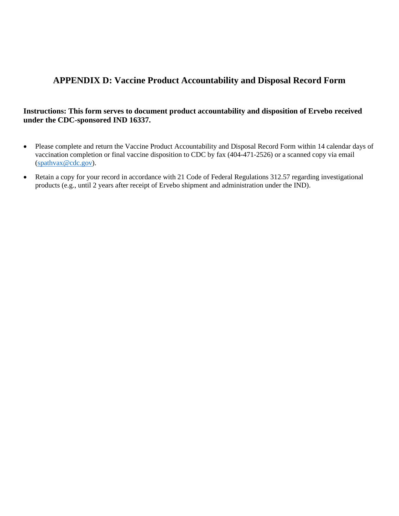# **APPENDIX D: Vaccine Product Accountability and Disposal Record Form**

# **Instructions: This form serves to document product accountability and disposition of Ervebo received under the CDC-sponsored IND 16337.**

- Please complete and return the Vaccine Product Accountability and Disposal Record Form within 14 calendar days of vaccination completion or final vaccine disposition to CDC by fax (404-471-2526) or a scanned copy via email [\(spathvax@cdc.gov\)](mailto:spathvax@cdc.gov).
- Retain a copy for your record in accordance with 21 Code of Federal Regulations 312.57 regarding investigational products (e.g., until 2 years after receipt of Ervebo shipment and administration under the IND).